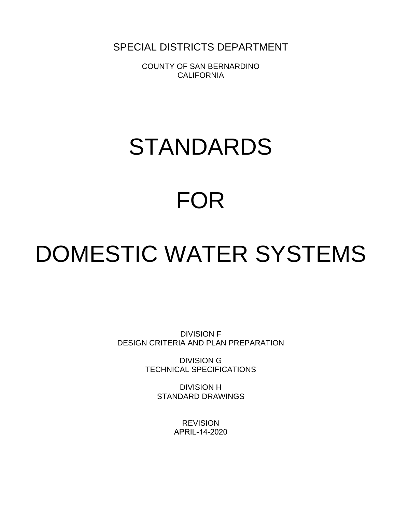SPECIAL DISTRICTS DEPARTMENT

COUNTY OF SAN BERNARDINO **CALIFORNIA** 

# STANDARDS

# FOR

# DOMESTIC WATER SYSTEMS

DIVISION F DESIGN CRITERIA AND PLAN PREPARATION

> DIVISION G TECHNICAL SPECIFICATIONS

> > DIVISION H STANDARD DRAWINGS

> > > **REVISION** APRIL-14-2020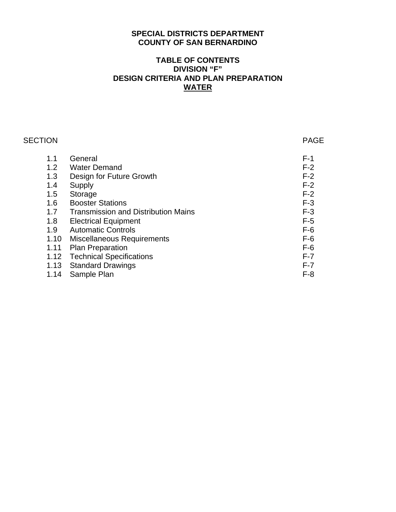# **SPECIAL DISTRICTS DEPARTMENT COUNTY OF SAN BERNARDINO**

# **TABLE OF CONTENTS DIVISION "F" DESIGN CRITERIA AND PLAN PREPARATION WATER**

| <b>SECTION</b> |                                            | <b>PAGE</b> |
|----------------|--------------------------------------------|-------------|
| 1.1            | General                                    | $F-1$       |
| 1.2            | <b>Water Demand</b>                        | $F-2$       |
| 1.3            | Design for Future Growth                   | $F-2$       |
| 1.4            | Supply                                     | $F-2$       |
| 1.5            | Storage                                    | $F-2$       |
| 1.6            | <b>Booster Stations</b>                    | $F-3$       |
| 1.7            | <b>Transmission and Distribution Mains</b> | $F-3$       |
| 1.8            | <b>Electrical Equipment</b>                | $F-5$       |
| 1.9            | <b>Automatic Controls</b>                  | $F-6$       |
| 1.10           | <b>Miscellaneous Requirements</b>          | $F-6$       |
| 1.11           | <b>Plan Preparation</b>                    | $F-6$       |
| 1.12           | <b>Technical Specifications</b>            | $F-7$       |
| 1.13           | <b>Standard Drawings</b>                   | $F-7$       |
| 1.14           | Sample Plan                                | $F-8$       |
|                |                                            |             |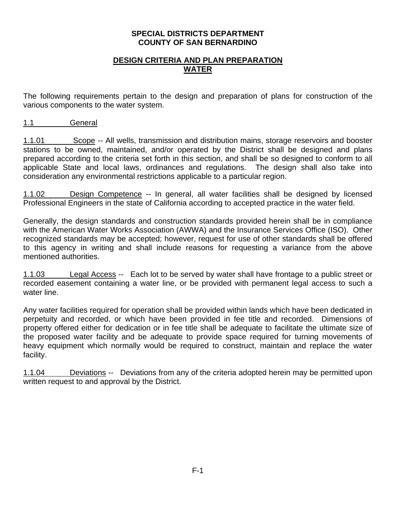#### **SPECIAL DISTRICTS DEPARTMENT COUNTY OF SAN BERNARDINO**

# **DESIGN CRITERIA AND PLAN PREPARATION WATER**

The following requirements pertain to the design and preparation of plans for construction of the various components to the water system.

1.1 General

1.1.01 Scope -- All wells, transmission and distribution mains, storage reservoirs and booster stations to be owned, maintained, and/or operated by the District shall be designed and plans prepared according to the criteria set forth in this section, and shall be so designed to conform to all applicable State and local laws, ordinances and regulations. The design shall also take into consideration any environmental restrictions applicable to a particular region.

1.1.02 Design Competence -- In general, all water facilities shall be designed by licensed Professional Engineers in the state of California according to accepted practice in the water field.

Generally, the design standards and construction standards provided herein shall be in compliance with the American Water Works Association (AWWA) and the Insurance Services Office (ISO). Other recognized standards may be accepted; however, request for use of other standards shall be offered to this agency in writing and shall include reasons for requesting a variance from the above mentioned authorities.

1.1.03 Legal Access -- Each lot to be served by water shall have frontage to a public street or recorded easement containing a water line, or be provided with permanent legal access to such a water line.

Any water facilities required for operation shall be provided within lands which have been dedicated in perpetuity and recorded, or which have been provided in fee title and recorded. Dimensions of property offered either for dedication or in fee title shall be adequate to facilitate the ultimate size of the proposed water facility and be adequate to provide space required for turning movements of heavy equipment which normally would be required to construct, maintain and replace the water facility.

1.1.04 Deviations -- Deviations from any of the criteria adopted herein may be permitted upon written request to and approval by the District.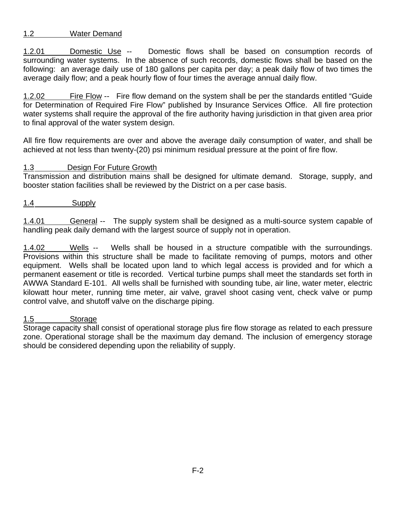# 1.2 Water Demand

1.2.01 Domestic Use -- Domestic flows shall be based on consumption records of surrounding water systems. In the absence of such records, domestic flows shall be based on the following: an average daily use of 180 gallons per capita per day; a peak daily flow of two times the average daily flow; and a peak hourly flow of four times the average annual daily flow.

1.2.02 Fire Flow -- Fire flow demand on the system shall be per the standards entitled "Guide for Determination of Required Fire Flow" published by Insurance Services Office. All fire protection water systems shall require the approval of the fire authority having jurisdiction in that given area prior to final approval of the water system design.

All fire flow requirements are over and above the average daily consumption of water, and shall be achieved at not less than twenty-(20) psi minimum residual pressure at the point of fire flow.

# 1.3 Design For Future Growth

Transmission and distribution mains shall be designed for ultimate demand. Storage, supply, and booster station facilities shall be reviewed by the District on a per case basis.

1.4 Supply

1.4.01 General -- The supply system shall be designed as a multi-source system capable of handling peak daily demand with the largest source of supply not in operation.

1.4.02 Wells -- Wells shall be housed in a structure compatible with the surroundings. Provisions within this structure shall be made to facilitate removing of pumps, motors and other equipment. Wells shall be located upon land to which legal access is provided and for which a permanent easement or title is recorded. Vertical turbine pumps shall meet the standards set forth in AWWA Standard E-101. All wells shall be furnished with sounding tube, air line, water meter, electric kilowatt hour meter, running time meter, air valve, gravel shoot casing vent, check valve or pump control valve, and shutoff valve on the discharge piping.

# 1.5 Storage

Storage capacity shall consist of operational storage plus fire flow storage as related to each pressure zone. Operational storage shall be the maximum day demand. The inclusion of emergency storage should be considered depending upon the reliability of supply.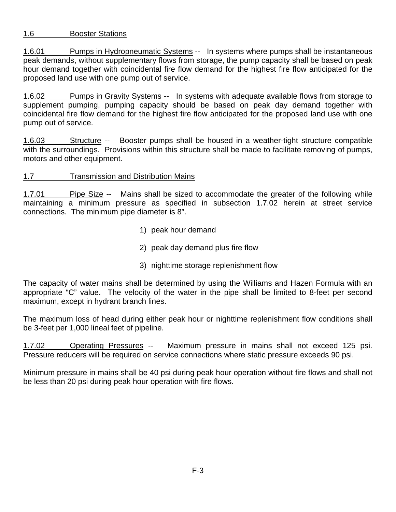# 1.6 Booster Stations

1.6.01 Pumps in Hydropneumatic Systems -- In systems where pumps shall be instantaneous peak demands, without supplementary flows from storage, the pump capacity shall be based on peak hour demand together with coincidental fire flow demand for the highest fire flow anticipated for the proposed land use with one pump out of service.

1.6.02 Pumps in Gravity Systems -- In systems with adequate available flows from storage to supplement pumping, pumping capacity should be based on peak day demand together with coincidental fire flow demand for the highest fire flow anticipated for the proposed land use with one pump out of service.

1.6.03 Structure -- Booster pumps shall be housed in a weather-tight structure compatible with the surroundings. Provisions within this structure shall be made to facilitate removing of pumps, motors and other equipment.

# 1.7 Transmission and Distribution Mains

1.7.01 Pipe Size -- Mains shall be sized to accommodate the greater of the following while maintaining a minimum pressure as specified in subsection 1.7.02 herein at street service connections. The minimum pipe diameter is 8".

- 1) peak hour demand
- 2) peak day demand plus fire flow
- 3) nighttime storage replenishment flow

The capacity of water mains shall be determined by using the Williams and Hazen Formula with an appropriate "C" value. The velocity of the water in the pipe shall be limited to 8-feet per second maximum, except in hydrant branch lines.

The maximum loss of head during either peak hour or nighttime replenishment flow conditions shall be 3-feet per 1,000 lineal feet of pipeline.

1.7.02 Operating Pressures -- Maximum pressure in mains shall not exceed 125 psi. Pressure reducers will be required on service connections where static pressure exceeds 90 psi.

Minimum pressure in mains shall be 40 psi during peak hour operation without fire flows and shall not be less than 20 psi during peak hour operation with fire flows.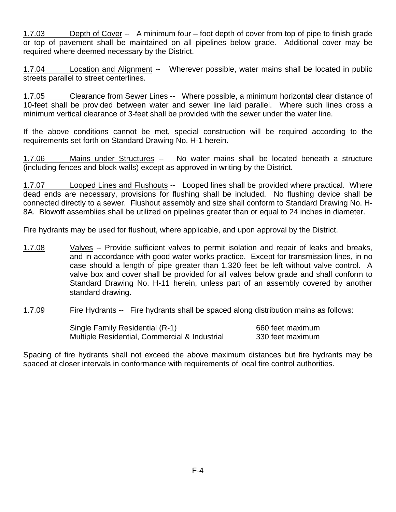1.7.03 Depth of Cover -- A minimum four – foot depth of cover from top of pipe to finish grade or top of pavement shall be maintained on all pipelines below grade. Additional cover may be required where deemed necessary by the District.

1.7.04 Location and Alignment -- Wherever possible, water mains shall be located in public streets parallel to street centerlines.

1.7.05 Clearance from Sewer Lines -- Where possible, a minimum horizontal clear distance of 10-feet shall be provided between water and sewer line laid parallel. Where such lines cross a minimum vertical clearance of 3-feet shall be provided with the sewer under the water line.

If the above conditions cannot be met, special construction will be required according to the requirements set forth on Standard Drawing No. H-1 herein.

1.7.06 Mains under Structures -- No water mains shall be located beneath a structure (including fences and block walls) except as approved in writing by the District.

1.7.07 Looped Lines and Flushouts -- Looped lines shall be provided where practical. Where dead ends are necessary, provisions for flushing shall be included. No flushing device shall be connected directly to a sewer. Flushout assembly and size shall conform to Standard Drawing No. H-8A. Blowoff assemblies shall be utilized on pipelines greater than or equal to 24 inches in diameter.

Fire hydrants may be used for flushout, where applicable, and upon approval by the District.

- 1.7.08 Valves -- Provide sufficient valves to permit isolation and repair of leaks and breaks, and in accordance with good water works practice. Except for transmission lines, in no case should a length of pipe greater than 1,320 feet be left without valve control. A valve box and cover shall be provided for all valves below grade and shall conform to Standard Drawing No. H-11 herein, unless part of an assembly covered by another standard drawing.
- 1.7.09 Fire Hydrants -- Fire hydrants shall be spaced along distribution mains as follows:

| Single Family Residential (R-1)               | 660 feet maximum |
|-----------------------------------------------|------------------|
| Multiple Residential, Commercial & Industrial | 330 feet maximum |

Spacing of fire hydrants shall not exceed the above maximum distances but fire hydrants may be spaced at closer intervals in conformance with requirements of local fire control authorities.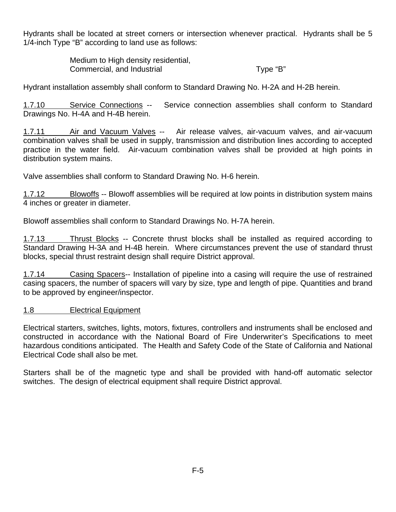Hydrants shall be located at street corners or intersection whenever practical. Hydrants shall be 5 1/4-inch Type "B" according to land use as follows:

> Medium to High density residential, Commercial, and Industrial Type "B"

Hydrant installation assembly shall conform to Standard Drawing No. H-2A and H-2B herein.

1.7.10 Service Connections -- Service connection assemblies shall conform to Standard Drawings No. H-4A and H-4B herein.

1.7.11 Air and Vacuum Valves -- Air release valves, air-vacuum valves, and air-vacuum combination valves shall be used in supply, transmission and distribution lines according to accepted practice in the water field. Air-vacuum combination valves shall be provided at high points in distribution system mains.

Valve assemblies shall conform to Standard Drawing No. H-6 herein.

1.7.12 Blowoffs -- Blowoff assemblies will be required at low points in distribution system mains 4 inches or greater in diameter.

Blowoff assemblies shall conform to Standard Drawings No. H-7A herein.

1.7.13 Thrust Blocks -- Concrete thrust blocks shall be installed as required according to Standard Drawing H-3A and H-4B herein. Where circumstances prevent the use of standard thrust blocks, special thrust restraint design shall require District approval.

1.7.14 Casing Spacers-- Installation of pipeline into a casing will require the use of restrained casing spacers, the number of spacers will vary by size, type and length of pipe. Quantities and brand to be approved by engineer/inspector.

# 1.8 Electrical Equipment

Electrical starters, switches, lights, motors, fixtures, controllers and instruments shall be enclosed and constructed in accordance with the National Board of Fire Underwriter's Specifications to meet hazardous conditions anticipated. The Health and Safety Code of the State of California and National Electrical Code shall also be met.

Starters shall be of the magnetic type and shall be provided with hand-off automatic selector switches. The design of electrical equipment shall require District approval.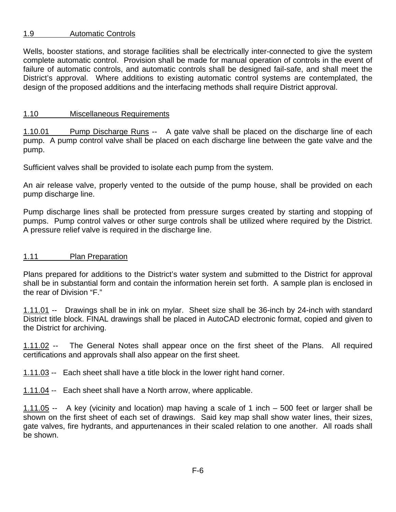# 1.9 Automatic Controls

Wells, booster stations, and storage facilities shall be electrically inter-connected to give the system complete automatic control. Provision shall be made for manual operation of controls in the event of failure of automatic controls, and automatic controls shall be designed fail-safe, and shall meet the District's approval. Where additions to existing automatic control systems are contemplated, the design of the proposed additions and the interfacing methods shall require District approval.

# 1.10 Miscellaneous Requirements

1.10.01 Pump Discharge Runs -- A gate valve shall be placed on the discharge line of each pump. A pump control valve shall be placed on each discharge line between the gate valve and the pump.

Sufficient valves shall be provided to isolate each pump from the system.

An air release valve, properly vented to the outside of the pump house, shall be provided on each pump discharge line.

Pump discharge lines shall be protected from pressure surges created by starting and stopping of pumps. Pump control valves or other surge controls shall be utilized where required by the District. A pressure relief valve is required in the discharge line.

# 1.11 Plan Preparation

Plans prepared for additions to the District's water system and submitted to the District for approval shall be in substantial form and contain the information herein set forth. A sample plan is enclosed in the rear of Division "F."

1.11.01 -- Drawings shall be in ink on mylar. Sheet size shall be 36-inch by 24-inch with standard District title block. FINAL drawings shall be placed in AutoCAD electronic format, copied and given to the District for archiving.

1.11.02 -- The General Notes shall appear once on the first sheet of the Plans. All required certifications and approvals shall also appear on the first sheet.

1.11.03 -- Each sheet shall have a title block in the lower right hand corner.

1.11.04 -- Each sheet shall have a North arrow, where applicable.

1.11.05 -- A key (vicinity and location) map having a scale of 1 inch – 500 feet or larger shall be shown on the first sheet of each set of drawings. Said key map shall show water lines, their sizes, gate valves, fire hydrants, and appurtenances in their scaled relation to one another. All roads shall be shown.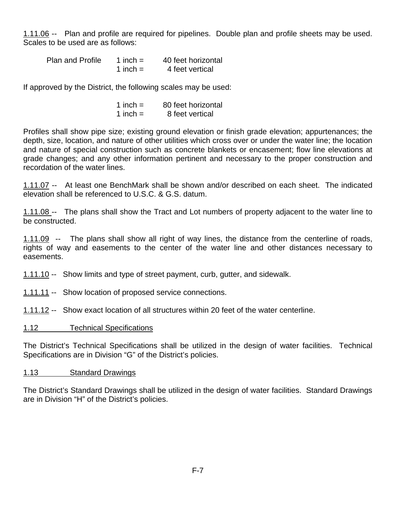1.11.06 -- Plan and profile are required for pipelines. Double plan and profile sheets may be used. Scales to be used are as follows:

| <b>Plan and Profile</b> | 1 inch $=$ | 40 feet horizontal |
|-------------------------|------------|--------------------|
|                         | 1 inch $=$ | 4 feet vertical    |

If approved by the District, the following scales may be used:

| 1 inch $=$ | 80 feet horizontal |
|------------|--------------------|
| 1 inch $=$ | 8 feet vertical    |

Profiles shall show pipe size; existing ground elevation or finish grade elevation; appurtenances; the depth, size, location, and nature of other utilities which cross over or under the water line; the location and nature of special construction such as concrete blankets or encasement; flow line elevations at grade changes; and any other information pertinent and necessary to the proper construction and recordation of the water lines.

1.11.07 -- At least one BenchMark shall be shown and/or described on each sheet. The indicated elevation shall be referenced to U.S.C. & G.S. datum.

1.11.08 -- The plans shall show the Tract and Lot numbers of property adjacent to the water line to be constructed.

1.11.09 -- The plans shall show all right of way lines, the distance from the centerline of roads, rights of way and easements to the center of the water line and other distances necessary to easements.

1.11.10 -- Show limits and type of street payment, curb, gutter, and sidewalk.

1.11.11 -- Show location of proposed service connections.

1.11.12 -- Show exact location of all structures within 20 feet of the water centerline.

1.12 Technical Specifications

The District's Technical Specifications shall be utilized in the design of water facilities. Technical Specifications are in Division "G" of the District's policies.

#### 1.13 Standard Drawings

The District's Standard Drawings shall be utilized in the design of water facilities. Standard Drawings are in Division "H" of the District's policies.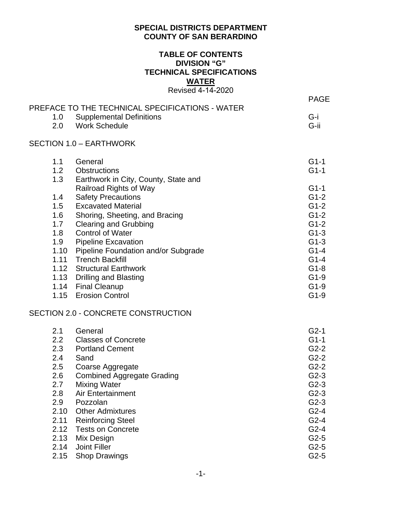# **SPECIAL DISTRICTS DEPARTMENT COUNTY OF SAN BERARDINO**

# **TABLE OF CONTENTS DIVISION "G" TECHNICAL SPECIFICATIONS WATER** Revised 4-14-2020

|                  |                                                                                    | <b>PAGE</b> |
|------------------|------------------------------------------------------------------------------------|-------------|
| 1.0              | PREFACE TO THE TECHNICAL SPECIFICATIONS - WATER<br><b>Supplemental Definitions</b> | G-i         |
| 2.0              | <b>Work Schedule</b>                                                               | G-ii        |
|                  | <b>SECTION 1.0 - EARTHWORK</b>                                                     |             |
| 1.1              | General                                                                            | $G1-1$      |
| 1.2 <sub>2</sub> | <b>Obstructions</b>                                                                | $G1-1$      |
| 1.3              | Earthwork in City, County, State and                                               |             |
|                  | Railroad Rights of Way                                                             | $G1-1$      |
| 1.4              | <b>Safety Precautions</b>                                                          | $G1-2$      |
| 1.5              | <b>Excavated Material</b>                                                          | $G1-2$      |
| 1.6              | Shoring, Sheeting, and Bracing                                                     | $G1-2$      |
| 1.7              | <b>Clearing and Grubbing</b>                                                       | $G1-2$      |
| 1.8              | <b>Control of Water</b>                                                            | $G1-3$      |
| 1.9              | <b>Pipeline Excavation</b>                                                         | $G1-3$      |
| 1.10             | <b>Pipeline Foundation and/or Subgrade</b>                                         | $G1-4$      |
| 1.11             | <b>Trench Backfill</b>                                                             | $G1-4$      |
|                  | 1.12 Structural Earthwork                                                          | $G1-8$      |
|                  | 1.13 Drilling and Blasting                                                         | $G1-9$      |
|                  | 1.14 Final Cleanup                                                                 | $G1-9$      |
| 1.15             | <b>Erosion Control</b>                                                             | $G1-9$      |
|                  | SECTION 2.0 - CONCRETE CONSTRUCTION                                                |             |
| 2.1              | General                                                                            | $G2-1$      |
| 2.2              | <b>Classes of Concrete</b>                                                         | $G1-1$      |
| 2.3              | <b>Portland Cement</b>                                                             | $G2-2$      |
| 2.4              | Sand                                                                               | $G2-2$      |
| 2.5              | Coarse Aggregate                                                                   | $G2-2$      |
| 2.6              | <b>Combined Aggregate Grading</b>                                                  | $G2-3$      |
| 2.7              | Mixing Water                                                                       | $G2-3$      |
| 2.8              | Air Entertainment                                                                  | $G2-3$      |
| 2.9              | Pozzolan                                                                           | $G2-3$      |
| 2.10             | <b>Other Admixtures</b>                                                            | $G2-4$      |
| 2.11             | <b>Reinforcing Steel</b>                                                           | $G2-4$      |
| 2.12             | <b>Tests on Concrete</b>                                                           | $G2-4$      |
| 2.13             | Mix Design                                                                         | $G2-5$      |
| 2.14             | <b>Joint Filler</b>                                                                | $G2-5$      |
| 2.15             | <b>Shop Drawings</b>                                                               | $G2-5$      |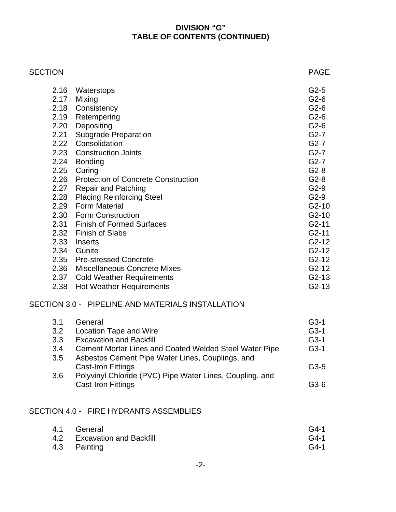# **DIVISION "G" TABLE OF CONTENTS (CONTINUED)**

| <b>SECTION</b> |                                                    | <b>PAGE</b> |
|----------------|----------------------------------------------------|-------------|
|                | 2.16<br>Waterstops                                 | $G2-5$      |
|                | 2.17<br>Mixing                                     | $G2-6$      |
|                | 2.18<br>Consistency                                | $G2-6$      |
|                | 2.19<br>Retempering                                | $G2-6$      |
|                | 2.20<br>Depositing                                 | $G2-6$      |
|                | <b>Subgrade Preparation</b><br>2.21                | $G2-7$      |
|                | Consolidation<br>2.22                              | $G2-7$      |
|                | 2.23<br><b>Construction Joints</b>                 | $G2-7$      |
|                | 2.24<br><b>Bonding</b>                             | $G2-7$      |
|                | Curing<br>2.25                                     | $G2-8$      |
|                | 2.26<br><b>Protection of Concrete Construction</b> | $G2-8$      |
|                | <b>Repair and Patching</b><br>2.27                 | $G2-9$      |
|                | <b>Placing Reinforcing Steel</b><br>2.28           | $G2-9$      |
|                | <b>Form Material</b><br>2.29                       | $G2-10$     |
|                | 2.30 Form Construction                             | $G2-10$     |
|                | <b>Finish of Formed Surfaces</b><br>2.31           | $G2-11$     |
|                | 2.32<br><b>Finish of Slabs</b>                     | $G2-11$     |
|                | 2.33<br><b>Inserts</b>                             | $G2-12$     |
|                | 2.34<br>Gunite                                     | $G2-12$     |
|                | <b>Pre-stressed Concrete</b><br>2.35               | $G2-12$     |
|                | Miscellaneous Concrete Mixes<br>2.36               | $G2-12$     |
|                | <b>Cold Weather Requirements</b><br>2.37           | $G2-13$     |
|                | <b>Hot Weather Requirements</b><br>2.38            | $G2-13$     |

# SECTION 3.0 - PIPELINE AND MATERIALS INSTALLATION

| 3.1 | General                                                       | $G3-1$ |
|-----|---------------------------------------------------------------|--------|
| 3.2 | <b>Location Tape and Wire</b>                                 | $G3-1$ |
| 3.3 | <b>Excavation and Backfill</b>                                | $G3-1$ |
| 3.4 | <b>Cement Mortar Lines and Coated Welded Steel Water Pipe</b> | $G3-1$ |
| 3.5 | Asbestos Cement Pipe Water Lines, Couplings, and              |        |
|     | <b>Cast-Iron Fittings</b>                                     | $G3-5$ |
| 3.6 | Polyvinyl Chloride (PVC) Pipe Water Lines, Coupling, and      |        |
|     | <b>Cast-Iron Fittings</b>                                     | $G3-6$ |

# SECTION 4.0 - FIRE HYDRANTS ASSEMBLIES

| 4.1 General                 | $G4-1$ |
|-----------------------------|--------|
| 4.2 Excavation and Backfill | $G4-1$ |
| 4.3 Painting                | $G4-1$ |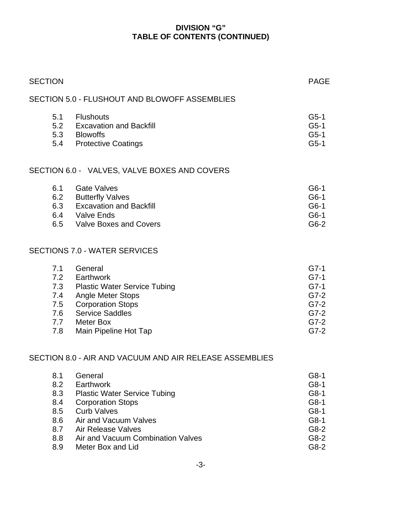# **DIVISION "G" TABLE OF CONTENTS (CONTINUED)**

| <b>SECTION</b>                                              |                                                                                                                                                                                                                        | <b>PAGE</b>                                                                                                                                                                                                                                                                                                                                                                                      |
|-------------------------------------------------------------|------------------------------------------------------------------------------------------------------------------------------------------------------------------------------------------------------------------------|--------------------------------------------------------------------------------------------------------------------------------------------------------------------------------------------------------------------------------------------------------------------------------------------------------------------------------------------------------------------------------------------------|
|                                                             |                                                                                                                                                                                                                        |                                                                                                                                                                                                                                                                                                                                                                                                  |
| 5.1                                                         | <b>Flushouts</b>                                                                                                                                                                                                       | $G5-1$<br>$G5-1$<br>$G5-1$<br>$G5-1$                                                                                                                                                                                                                                                                                                                                                             |
|                                                             |                                                                                                                                                                                                                        |                                                                                                                                                                                                                                                                                                                                                                                                  |
| 6.1<br>6.3                                                  | <b>Gate Valves</b><br><b>Butterfly Valves</b><br><b>Excavation and Backfill</b>                                                                                                                                        | $G6-1$<br>G6-1<br>G6-1<br>G6-1<br>$G6-2$                                                                                                                                                                                                                                                                                                                                                         |
|                                                             |                                                                                                                                                                                                                        |                                                                                                                                                                                                                                                                                                                                                                                                  |
| 7.1<br>7.4<br>7.5<br>7.6<br>7.8                             | General<br>Angle Meter Stops<br><b>Corporation Stops</b><br><b>Service Saddles</b><br>Main Pipeline Hot Tap                                                                                                            | $G7-1$<br>$G7-1$<br>$G7-1$<br>$G7-2$<br>$G7-2$<br>$G7-2$<br>$G7-2$<br>$G7-2$                                                                                                                                                                                                                                                                                                                     |
|                                                             |                                                                                                                                                                                                                        |                                                                                                                                                                                                                                                                                                                                                                                                  |
| 8.1<br>8.2<br>8.3<br>8.4<br>8.5<br>8.6<br>8.7<br>8.8<br>8.9 | General<br>Earthwork<br><b>Plastic Water Service Tubing</b><br><b>Corporation Stops</b><br><b>Curb Valves</b><br>Air and Vacuum Valves<br>Air Release Valves<br>Air and Vacuum Combination Valves<br>Meter Box and Lid | $G8-1$<br>G8-1<br>G8-1<br>G8-1<br>G8-1<br>G8-1<br>G8-2<br>$G8-2$<br>G8-2                                                                                                                                                                                                                                                                                                                         |
|                                                             |                                                                                                                                                                                                                        | SECTION 5.0 - FLUSHOUT AND BLOWOFF ASSEMBLIES<br>5.2 Excavation and Backfill<br>5.3 Blowoffs<br>5.4 Protective Coatings<br>SECTION 6.0 - VALVES, VALVE BOXES AND COVERS<br>6.2<br>6.4 Valve Ends<br>6.5 Valve Boxes and Covers<br>SECTIONS 7.0 - WATER SERVICES<br>7.2 Earthwork<br>7.3 Plastic Water Service Tubing<br>7.7 Meter Box<br>SECTION 8.0 - AIR AND VACUUM AND AIR RELEASE ASSEMBLIES |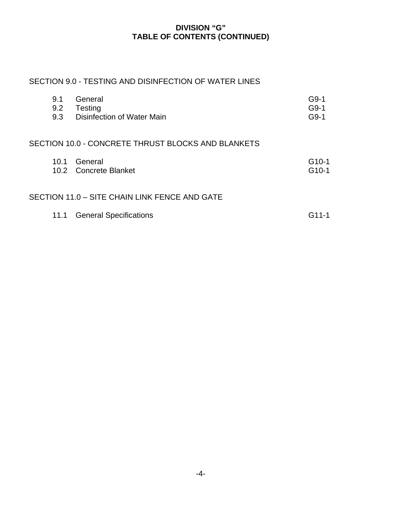# **DIVISION "G" TABLE OF CONTENTS (CONTINUED)**

# SECTION 9.0 - TESTING AND DISINFECTION OF WATER LINES

| 9.1<br>9.2<br>9.3 | General<br>Testing<br>Disinfection of Water Main   | G9-1<br>$G9-1$<br>$G9-1$      |
|-------------------|----------------------------------------------------|-------------------------------|
|                   | SECTION 10.0 - CONCRETE THRUST BLOCKS AND BLANKETS |                               |
| 10.1              | General<br>10.2 Concrete Blanket                   | $G10-1$<br>G <sub>10</sub> -1 |
|                   | SECTION 11.0 - SITE CHAIN LINK FENCE AND GATE      |                               |
| 11.1              | <b>General Specifications</b>                      | G11-1                         |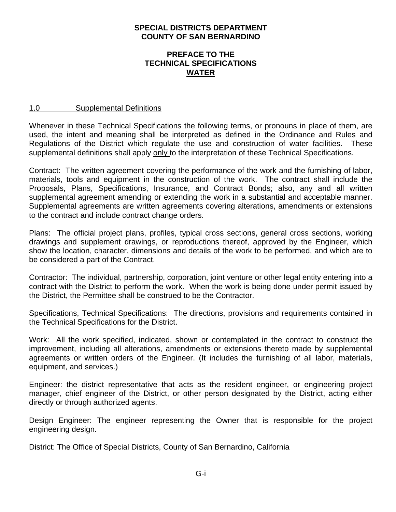# **SPECIAL DISTRICTS DEPARTMENT COUNTY OF SAN BERNARDINO**

## **PREFACE TO THE TECHNICAL SPECIFICATIONS WATER**

#### 1.0 Supplemental Definitions

Whenever in these Technical Specifications the following terms, or pronouns in place of them, are used, the intent and meaning shall be interpreted as defined in the Ordinance and Rules and Regulations of the District which regulate the use and construction of water facilities. These supplemental definitions shall apply only to the interpretation of these Technical Specifications.

Contract: The written agreement covering the performance of the work and the furnishing of labor, materials, tools and equipment in the construction of the work. The contract shall include the Proposals, Plans, Specifications, Insurance, and Contract Bonds; also, any and all written supplemental agreement amending or extending the work in a substantial and acceptable manner. Supplemental agreements are written agreements covering alterations, amendments or extensions to the contract and include contract change orders.

Plans: The official project plans, profiles, typical cross sections, general cross sections, working drawings and supplement drawings, or reproductions thereof, approved by the Engineer, which show the location, character, dimensions and details of the work to be performed, and which are to be considered a part of the Contract.

Contractor: The individual, partnership, corporation, joint venture or other legal entity entering into a contract with the District to perform the work. When the work is being done under permit issued by the District, the Permittee shall be construed to be the Contractor.

Specifications, Technical Specifications: The directions, provisions and requirements contained in the Technical Specifications for the District.

Work: All the work specified, indicated, shown or contemplated in the contract to construct the improvement, including all alterations, amendments or extensions thereto made by supplemental agreements or written orders of the Engineer. (It includes the furnishing of all labor, materials, equipment, and services.)

Engineer: the district representative that acts as the resident engineer, or engineering project manager, chief engineer of the District, or other person designated by the District, acting either directly or through authorized agents.

Design Engineer: The engineer representing the Owner that is responsible for the project engineering design.

District: The Office of Special Districts, County of San Bernardino, California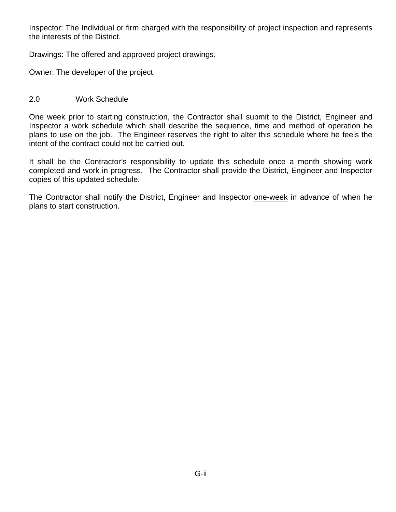Inspector: The Individual or firm charged with the responsibility of project inspection and represents the interests of the District.

Drawings: The offered and approved project drawings.

Owner: The developer of the project.

# 2.0 Work Schedule

One week prior to starting construction, the Contractor shall submit to the District, Engineer and Inspector a work schedule which shall describe the sequence, time and method of operation he plans to use on the job. The Engineer reserves the right to alter this schedule where he feels the intent of the contract could not be carried out.

It shall be the Contractor's responsibility to update this schedule once a month showing work completed and work in progress. The Contractor shall provide the District, Engineer and Inspector copies of this updated schedule.

The Contractor shall notify the District, Engineer and Inspector one-week in advance of when he plans to start construction.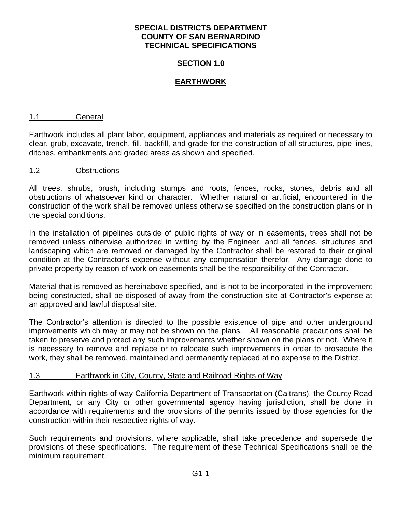### **SECTION 1.0**

# **EARTHWORK**

#### 1.1 General

Earthwork includes all plant labor, equipment, appliances and materials as required or necessary to clear, grub, excavate, trench, fill, backfill, and grade for the construction of all structures, pipe lines, ditches, embankments and graded areas as shown and specified.

#### 1.2 Obstructions

All trees, shrubs, brush, including stumps and roots, fences, rocks, stones, debris and all obstructions of whatsoever kind or character. Whether natural or artificial, encountered in the construction of the work shall be removed unless otherwise specified on the construction plans or in the special conditions.

In the installation of pipelines outside of public rights of way or in easements, trees shall not be removed unless otherwise authorized in writing by the Engineer, and all fences, structures and landscaping which are removed or damaged by the Contractor shall be restored to their original condition at the Contractor's expense without any compensation therefor. Any damage done to private property by reason of work on easements shall be the responsibility of the Contractor.

Material that is removed as hereinabove specified, and is not to be incorporated in the improvement being constructed, shall be disposed of away from the construction site at Contractor's expense at an approved and lawful disposal site.

The Contractor's attention is directed to the possible existence of pipe and other underground improvements which may or may not be shown on the plans. All reasonable precautions shall be taken to preserve and protect any such improvements whether shown on the plans or not. Where it is necessary to remove and replace or to relocate such improvements in order to prosecute the work, they shall be removed, maintained and permanently replaced at no expense to the District.

#### 1.3 Earthwork in City, County, State and Railroad Rights of Way

Earthwork within rights of way California Department of Transportation (Caltrans), the County Road Department, or any City or other governmental agency having jurisdiction, shall be done in accordance with requirements and the provisions of the permits issued by those agencies for the construction within their respective rights of way.

Such requirements and provisions, where applicable, shall take precedence and supersede the provisions of these specifications. The requirement of these Technical Specifications shall be the minimum requirement.

G1-1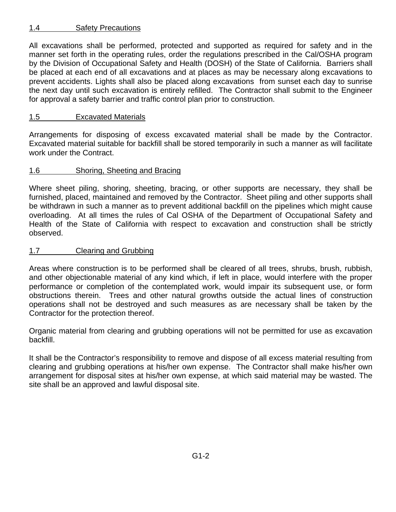# 1.4 Safety Precautions

All excavations shall be performed, protected and supported as required for safety and in the manner set forth in the operating rules, order the regulations prescribed in the Cal/OSHA program by the Division of Occupational Safety and Health (DOSH) of the State of California. Barriers shall be placed at each end of all excavations and at places as may be necessary along excavations to prevent accidents. Lights shall also be placed along excavations from sunset each day to sunrise the next day until such excavation is entirely refilled. The Contractor shall submit to the Engineer for approval a safety barrier and traffic control plan prior to construction.

# 1.5 Excavated Materials

Arrangements for disposing of excess excavated material shall be made by the Contractor. Excavated material suitable for backfill shall be stored temporarily in such a manner as will facilitate work under the Contract.

# 1.6 Shoring, Sheeting and Bracing

Where sheet piling, shoring, sheeting, bracing, or other supports are necessary, they shall be furnished, placed, maintained and removed by the Contractor. Sheet piling and other supports shall be withdrawn in such a manner as to prevent additional backfill on the pipelines which might cause overloading. At all times the rules of Cal OSHA of the Department of Occupational Safety and Health of the State of California with respect to excavation and construction shall be strictly observed.

# 1.7 Clearing and Grubbing

Areas where construction is to be performed shall be cleared of all trees, shrubs, brush, rubbish, and other objectionable material of any kind which, if left in place, would interfere with the proper performance or completion of the contemplated work, would impair its subsequent use, or form obstructions therein. Trees and other natural growths outside the actual lines of construction operations shall not be destroyed and such measures as are necessary shall be taken by the Contractor for the protection thereof.

Organic material from clearing and grubbing operations will not be permitted for use as excavation backfill.

It shall be the Contractor's responsibility to remove and dispose of all excess material resulting from clearing and grubbing operations at his/her own expense. The Contractor shall make his/her own arrangement for disposal sites at his/her own expense, at which said material may be wasted. The site shall be an approved and lawful disposal site.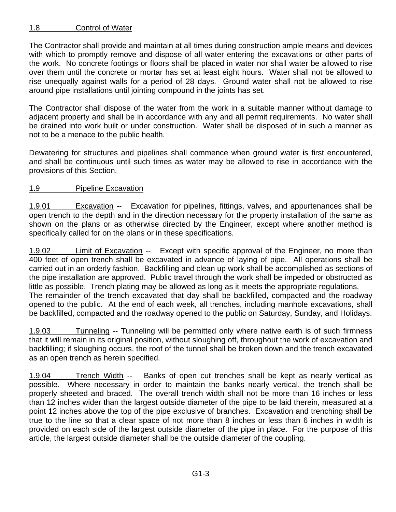# 1.8 Control of Water

The Contractor shall provide and maintain at all times during construction ample means and devices with which to promptly remove and dispose of all water entering the excavations or other parts of the work. No concrete footings or floors shall be placed in water nor shall water be allowed to rise over them until the concrete or mortar has set at least eight hours. Water shall not be allowed to rise unequally against walls for a period of 28 days. Ground water shall not be allowed to rise around pipe installations until jointing compound in the joints has set.

The Contractor shall dispose of the water from the work in a suitable manner without damage to adjacent property and shall be in accordance with any and all permit requirements. No water shall be drained into work built or under construction. Water shall be disposed of in such a manner as not to be a menace to the public health.

Dewatering for structures and pipelines shall commence when ground water is first encountered, and shall be continuous until such times as water may be allowed to rise in accordance with the provisions of this Section.

# 1.9 Pipeline Excavation

1.9.01 Excavation -- Excavation for pipelines, fittings, valves, and appurtenances shall be open trench to the depth and in the direction necessary for the property installation of the same as shown on the plans or as otherwise directed by the Engineer, except where another method is specifically called for on the plans or in these specifications.

1.9.02 Limit of Excavation -- Except with specific approval of the Engineer, no more than 400 feet of open trench shall be excavated in advance of laying of pipe. All operations shall be carried out in an orderly fashion. Backfilling and clean up work shall be accomplished as sections of the pipe installation are approved. Public travel through the work shall be impeded or obstructed as little as possible. Trench plating may be allowed as long as it meets the appropriate regulations. The remainder of the trench excavated that day shall be backfilled, compacted and the roadway opened to the public. At the end of each week, all trenches, including manhole excavations, shall be backfilled, compacted and the roadway opened to the public on Saturday, Sunday, and Holidays.

1.9.03 Tunneling -- Tunneling will be permitted only where native earth is of such firmness that it will remain in its original position, without sloughing off, throughout the work of excavation and backfilling; if sloughing occurs, the roof of the tunnel shall be broken down and the trench excavated as an open trench as herein specified.

1.9.04 Trench Width -- Banks of open cut trenches shall be kept as nearly vertical as possible. Where necessary in order to maintain the banks nearly vertical, the trench shall be properly sheeted and braced. The overall trench width shall not be more than 16 inches or less than 12 inches wider than the largest outside diameter of the pipe to be laid therein, measured at a point 12 inches above the top of the pipe exclusive of branches. Excavation and trenching shall be true to the line so that a clear space of not more than 8 inches or less than 6 inches in width is provided on each side of the largest outside diameter of the pipe in place. For the purpose of this article, the largest outside diameter shall be the outside diameter of the coupling.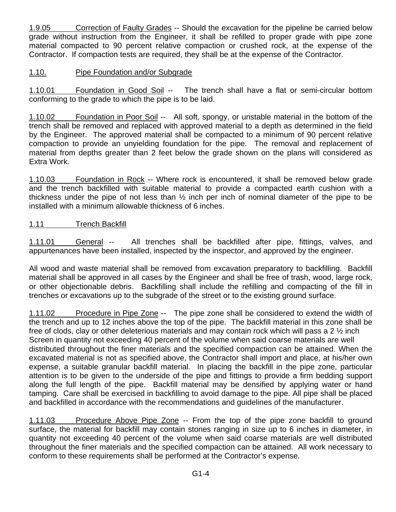1.9.05 Correction of Faulty Grades -- Should the excavation for the pipeline be carried below grade without instruction from the Engineer, it shall be refilled to proper grade with pipe zone material compacted to 90 percent relative compaction or crushed rock, at the expense of the Contractor. If compaction tests are required, they shall be at the expense of the Contractor.

# 1.10. Pipe Foundation and/or Subgrade

1.10.01 Foundation in Good Soil -- The trench shall have a flat or semi-circular bottom conforming to the grade to which the pipe is to be laid.

1.10.02 Foundation in Poor Soil -- All soft, spongy, or unstable material in the bottom of the trench shall be removed and replaced with approved material to a depth as determined in the field by the Engineer. The approved material shall be compacted to a minimum of 90 percent relative compaction to provide an unyielding foundation for the pipe. The removal and replacement of material from depths greater than 2 feet below the grade shown on the plans will considered as Extra Work.

1.10.03 Foundation in Rock -- Where rock is encountered, it shall be removed below grade and the trench backfilled with suitable material to provide a compacted earth cushion with a thickness under the pipe of not less than ½ inch per inch of nominal diameter of the pipe to be installed with a minimum allowable thickness of 6 inches.

# 1.11 Trench Backfill

1.11.01 General -- All trenches shall be backfilled after pipe, fittings, valves, and appurtenances have been installed, inspected by the inspector, and approved by the engineer.

All wood and waste material shall be removed from excavation preparatory to backfilling. Backfill material shall be approved in all cases by the Engineer and shall be free of trash, wood, large rock, or other objectionable debris. Backfilling shall include the refilling and compacting of the fill in trenches or excavations up to the subgrade of the street or to the existing ground surface.

1.11.02 Procedure in Pipe Zone -- The pipe zone shall be considered to extend the width of the trench and up to 12 inches above the top of the pipe. The backfill material in this zone shall be free of clods, clay or other deleterious materials and may contain rock which will pass a 2  $\frac{1}{2}$  inch Screen in quantity not exceeding 40 percent of the volume when said coarse materials are well distributed throughout the finer materials and the specified compaction can be attained. When the excavated material is not as specified above, the Contractor shall import and place, at his/her own expense, a suitable granular backfill material. In placing the backfill in the pipe zone, particular attention is to be given to the underside of the pipe and fittings to provide a firm bedding support along the full length of the pipe. Backfill material may be densified by applying water or hand tamping. Care shall be exercised in backfilling to avoid damage to the pipe. All pipe shall be placed and backfilled in accordance with the recommendations and guidelines of the manufacturer.

1.11.03 Procedure Above Pipe Zone -- From the top of the pipe zone backfill to ground surface, the material for backfill may contain stones ranging in size up to 6 inches in diameter, in quantity not exceeding 40 percent of the volume when said coarse materials are well distributed throughout the finer materials and the specified compaction can be attained. All work necessary to conform to these requirements shall be performed at the Contractor's expense.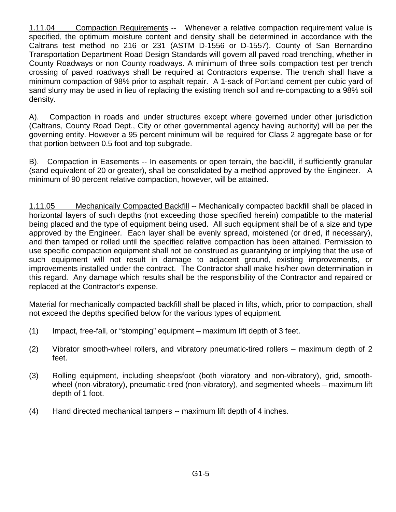1.11.04 Compaction Requirements -- Whenever a relative compaction requirement value is specified, the optimum moisture content and density shall be determined in accordance with the Caltrans test method no 216 or 231 (ASTM D-1556 or D-1557). County of San Bernardino Transportation Department Road Design Standards will govern all paved road trenching, whether in County Roadways or non County roadways. A minimum of three soils compaction test per trench crossing of paved roadways shall be required at Contractors expense. The trench shall have a minimum compaction of 98% prior to asphalt repair. A 1-sack of Portland cement per cubic yard of sand slurry may be used in lieu of replacing the existing trench soil and re-compacting to a 98% soil density.

A). Compaction in roads and under structures except where governed under other jurisdiction (Caltrans, County Road Dept., City or other governmental agency having authority) will be per the governing entity. However a 95 percent minimum will be required for Class 2 aggregate base or for that portion between 0.5 foot and top subgrade.

B). Compaction in Easements -- In easements or open terrain, the backfill, if sufficiently granular (sand equivalent of 20 or greater), shall be consolidated by a method approved by the Engineer. A minimum of 90 percent relative compaction, however, will be attained.

1.11.05 Mechanically Compacted Backfill -- Mechanically compacted backfill shall be placed in horizontal layers of such depths (not exceeding those specified herein) compatible to the material being placed and the type of equipment being used. All such equipment shall be of a size and type approved by the Engineer. Each layer shall be evenly spread, moistened (or dried, if necessary), and then tamped or rolled until the specified relative compaction has been attained. Permission to use specific compaction equipment shall not be construed as guarantying or implying that the use of such equipment will not result in damage to adjacent ground, existing improvements, or improvements installed under the contract. The Contractor shall make his/her own determination in this regard. Any damage which results shall be the responsibility of the Contractor and repaired or replaced at the Contractor's expense.

Material for mechanically compacted backfill shall be placed in lifts, which, prior to compaction, shall not exceed the depths specified below for the various types of equipment.

- (1) Impact, free-fall, or "stomping" equipment maximum lift depth of 3 feet.
- (2) Vibrator smooth-wheel rollers, and vibratory pneumatic-tired rollers maximum depth of 2 feet.
- (3) Rolling equipment, including sheepsfoot (both vibratory and non-vibratory), grid, smoothwheel (non-vibratory), pneumatic-tired (non-vibratory), and segmented wheels – maximum lift depth of 1 foot.
- (4) Hand directed mechanical tampers -- maximum lift depth of 4 inches.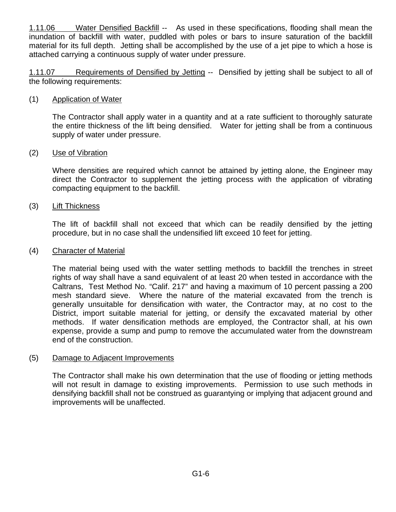1.11.06 Water Densified Backfill -- As used in these specifications, flooding shall mean the inundation of backfill with water, puddled with poles or bars to insure saturation of the backfill material for its full depth. Jetting shall be accomplished by the use of a jet pipe to which a hose is attached carrying a continuous supply of water under pressure.

1.11.07 Requirements of Densified by Jetting -- Densified by jetting shall be subject to all of the following requirements:

# (1) Application of Water

The Contractor shall apply water in a quantity and at a rate sufficient to thoroughly saturate the entire thickness of the lift being densified. Water for jetting shall be from a continuous supply of water under pressure.

# (2) Use of Vibration

Where densities are required which cannot be attained by jetting alone, the Engineer may direct the Contractor to supplement the jetting process with the application of vibrating compacting equipment to the backfill.

# (3) Lift Thickness

The lift of backfill shall not exceed that which can be readily densified by the jetting procedure, but in no case shall the undensified lift exceed 10 feet for jetting.

# (4) Character of Material

The material being used with the water settling methods to backfill the trenches in street rights of way shall have a sand equivalent of at least 20 when tested in accordance with the Caltrans, Test Method No. "Calif. 217" and having a maximum of 10 percent passing a 200 mesh standard sieve. Where the nature of the material excavated from the trench is generally unsuitable for densification with water, the Contractor may, at no cost to the District, import suitable material for jetting, or densify the excavated material by other methods. If water densification methods are employed, the Contractor shall, at his own expense, provide a sump and pump to remove the accumulated water from the downstream end of the construction.

# (5) Damage to Adjacent Improvements

The Contractor shall make his own determination that the use of flooding or jetting methods will not result in damage to existing improvements. Permission to use such methods in densifying backfill shall not be construed as guarantying or implying that adjacent ground and improvements will be unaffected.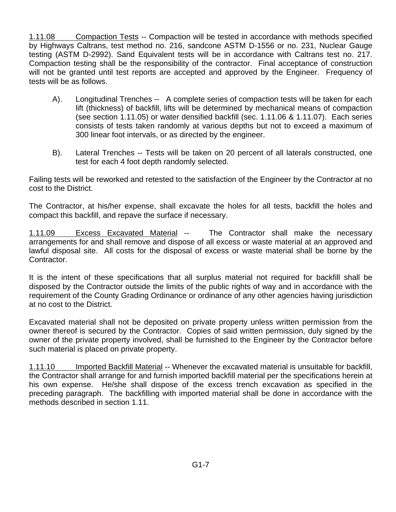1.11.08 Compaction Tests -- Compaction will be tested in accordance with methods specified by Highways Caltrans, test method no. 216, sandcone ASTM D-1556 or no. 231, Nuclear Gauge testing (ASTM D-2992). Sand Equivalent tests will be in accordance with Caltrans test no. 217. Compaction testing shall be the responsibility of the contractor. Final acceptance of construction will not be granted until test reports are accepted and approved by the Engineer. Frequency of tests will be as follows.

- A). Longitudinal Trenches -- A complete series of compaction tests will be taken for each lift (thickness) of backfill, lifts will be determined by mechanical means of compaction (see section 1.11.05) or water densified backfill (sec. 1.11.06 & 1.11.07). Each series consists of tests taken randomly at various depths but not to exceed a maximum of 300 linear foot intervals, or as directed by the engineer.
- B). Lateral Trenches -- Tests will be taken on 20 percent of all laterals constructed, one test for each 4 foot depth randomly selected.

Failing tests will be reworked and retested to the satisfaction of the Engineer by the Contractor at no cost to the District.

The Contractor, at his/her expense, shall excavate the holes for all tests, backfill the holes and compact this backfill, and repave the surface if necessary.

1.11.09 Excess Excavated Material -- The Contractor shall make the necessary arrangements for and shall remove and dispose of all excess or waste material at an approved and lawful disposal site. All costs for the disposal of excess or waste material shall be borne by the Contractor.

It is the intent of these specifications that all surplus material not required for backfill shall be disposed by the Contractor outside the limits of the public rights of way and in accordance with the requirement of the County Grading Ordinance or ordinance of any other agencies having jurisdiction at no cost to the District.

Excavated material shall not be deposited on private property unless written permission from the owner thereof is secured by the Contractor. Copies of said written permission, duly signed by the owner of the private property involved, shall be furnished to the Engineer by the Contractor before such material is placed on private property.

1.11.10 Imported Backfill Material -- Whenever the excavated material is unsuitable for backfill, the Contractor shall arrange for and furnish imported backfill material per the specifications herein at his own expense. He/she shall dispose of the excess trench excavation as specified in the preceding paragraph. The backfilling with imported material shall be done in accordance with the methods described in section 1.11.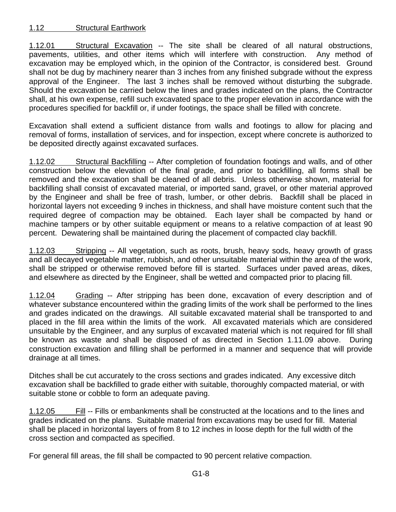# 1.12 Structural Earthwork

1.12.01 Structural Excavation -- The site shall be cleared of all natural obstructions, pavements, utilities, and other items which will interfere with construction. Any method of excavation may be employed which, in the opinion of the Contractor, is considered best. Ground shall not be dug by machinery nearer than 3 inches from any finished subgrade without the express approval of the Engineer. The last 3 inches shall be removed without disturbing the subgrade. Should the excavation be carried below the lines and grades indicated on the plans, the Contractor shall, at his own expense, refill such excavated space to the proper elevation in accordance with the procedures specified for backfill or, if under footings, the space shall be filled with concrete.

Excavation shall extend a sufficient distance from walls and footings to allow for placing and removal of forms, installation of services, and for inspection, except where concrete is authorized to be deposited directly against excavated surfaces.

1.12.02 Structural Backfilling -- After completion of foundation footings and walls, and of other construction below the elevation of the final grade, and prior to backfilling, all forms shall be removed and the excavation shall be cleaned of all debris. Unless otherwise shown, material for backfilling shall consist of excavated material, or imported sand, gravel, or other material approved by the Engineer and shall be free of trash, lumber, or other debris. Backfill shall be placed in horizontal layers not exceeding 9 inches in thickness, and shall have moisture content such that the required degree of compaction may be obtained. Each layer shall be compacted by hand or machine tampers or by other suitable equipment or means to a relative compaction of at least 90 percent. Dewatering shall be maintained during the placement of compacted clay backfill.

1.12.03 Stripping -- All vegetation, such as roots, brush, heavy sods, heavy growth of grass and all decayed vegetable matter, rubbish, and other unsuitable material within the area of the work, shall be stripped or otherwise removed before fill is started. Surfaces under paved areas, dikes, and elsewhere as directed by the Engineer, shall be wetted and compacted prior to placing fill.

1.12.04 Grading -- After stripping has been done, excavation of every description and of whatever substance encountered within the grading limits of the work shall be performed to the lines and grades indicated on the drawings. All suitable excavated material shall be transported to and placed in the fill area within the limits of the work. All excavated materials which are considered unsuitable by the Engineer, and any surplus of excavated material which is not required for fill shall be known as waste and shall be disposed of as directed in Section 1.11.09 above. During construction excavation and filling shall be performed in a manner and sequence that will provide drainage at all times.

Ditches shall be cut accurately to the cross sections and grades indicated. Any excessive ditch excavation shall be backfilled to grade either with suitable, thoroughly compacted material, or with suitable stone or cobble to form an adequate paving.

1.12.05 Fill -- Fills or embankments shall be constructed at the locations and to the lines and grades indicated on the plans. Suitable material from excavations may be used for fill. Material shall be placed in horizontal layers of from 8 to 12 inches in loose depth for the full width of the cross section and compacted as specified.

For general fill areas, the fill shall be compacted to 90 percent relative compaction.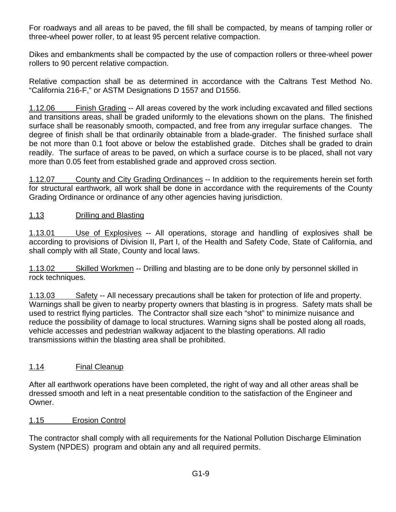For roadways and all areas to be paved, the fill shall be compacted, by means of tamping roller or three-wheel power roller, to at least 95 percent relative compaction.

Dikes and embankments shall be compacted by the use of compaction rollers or three-wheel power rollers to 90 percent relative compaction.

Relative compaction shall be as determined in accordance with the Caltrans Test Method No. "California 216-F," or ASTM Designations D 1557 and D1556.

1.12.06 Finish Grading -- All areas covered by the work including excavated and filled sections and transitions areas, shall be graded uniformly to the elevations shown on the plans. The finished surface shall be reasonably smooth, compacted, and free from any irregular surface changes. The degree of finish shall be that ordinarily obtainable from a blade-grader. The finished surface shall be not more than 0.1 foot above or below the established grade. Ditches shall be graded to drain readily. The surface of areas to be paved, on which a surface course is to be placed, shall not vary more than 0.05 feet from established grade and approved cross section.

1.12.07 County and City Grading Ordinances -- In addition to the requirements herein set forth for structural earthwork, all work shall be done in accordance with the requirements of the County Grading Ordinance or ordinance of any other agencies having jurisdiction.

# 1.13 Drilling and Blasting

1.13.01 Use of Explosives -- All operations, storage and handling of explosives shall be according to provisions of Division II, Part I, of the Health and Safety Code, State of California, and shall comply with all State, County and local laws.

1.13.02 Skilled Workmen -- Drilling and blasting are to be done only by personnel skilled in rock techniques.

1.13.03 Safety -- All necessary precautions shall be taken for protection of life and property. Warnings shall be given to nearby property owners that blasting is in progress. Safety mats shall be used to restrict flying particles. The Contractor shall size each "shot" to minimize nuisance and reduce the possibility of damage to local structures. Warning signs shall be posted along all roads, vehicle accesses and pedestrian walkway adjacent to the blasting operations. All radio transmissions within the blasting area shall be prohibited.

# 1.14 Final Cleanup

After all earthwork operations have been completed, the right of way and all other areas shall be dressed smooth and left in a neat presentable condition to the satisfaction of the Engineer and Owner.

# 1.15 Erosion Control

The contractor shall comply with all requirements for the National Pollution Discharge Elimination System (NPDES) program and obtain any and all required permits.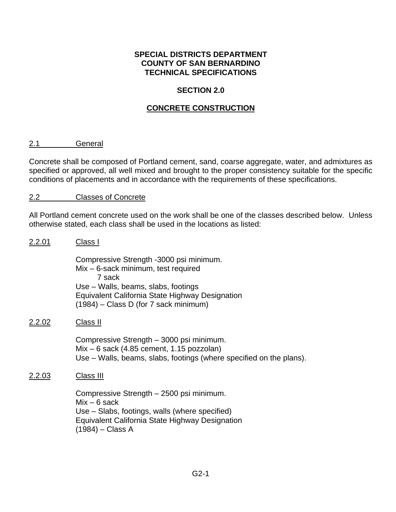# **SECTION 2.0**

# **CONCRETE CONSTRUCTION**

#### 2.1 General

Concrete shall be composed of Portland cement, sand, coarse aggregate, water, and admixtures as specified or approved, all well mixed and brought to the proper consistency suitable for the specific conditions of placements and in accordance with the requirements of these specifications.

# 2.2 Classes of Concrete

All Portland cement concrete used on the work shall be one of the classes described below. Unless otherwise stated, each class shall be used in the locations as listed:

# 2.2.01 Class I Compressive Strength -3000 psi minimum. Mix – 6-sack minimum, test required 7 sack Use – Walls, beams, slabs, footings Equivalent California State Highway Designation (1984) – Class D (for 7 sack minimum) 2.2.02 Class II Compressive Strength – 3000 psi minimum. Mix – 6 sack (4.85 cement, 1.15 pozzolan) Use – Walls, beams, slabs, footings (where specified on the plans). 2.2.03 Class III Compressive Strength – 2500 psi minimum.  $Mix - 6$  sack Use – Slabs, footings, walls (where specified) Equivalent California State Highway Designation (1984) – Class A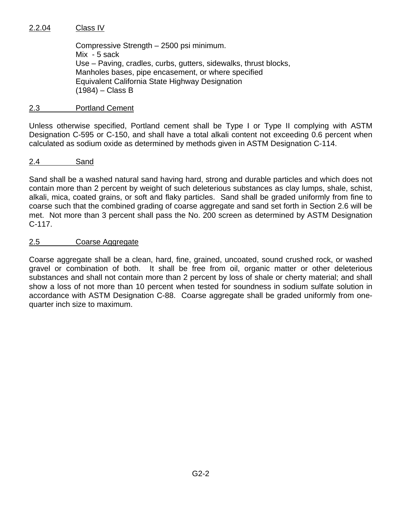# 2.2.04 Class IV

Compressive Strength – 2500 psi minimum. Mix - 5 sack Use – Paving, cradles, curbs, gutters, sidewalks, thrust blocks, Manholes bases, pipe encasement, or where specified Equivalent California State Highway Designation (1984) – Class B

# 2.3 Portland Cement

Unless otherwise specified, Portland cement shall be Type I or Type II complying with ASTM Designation C-595 or C-150, and shall have a total alkali content not exceeding 0.6 percent when calculated as sodium oxide as determined by methods given in ASTM Designation C-114.

# 2.4 Sand

Sand shall be a washed natural sand having hard, strong and durable particles and which does not contain more than 2 percent by weight of such deleterious substances as clay lumps, shale, schist, alkali, mica, coated grains, or soft and flaky particles. Sand shall be graded uniformly from fine to coarse such that the combined grading of coarse aggregate and sand set forth in Section 2.6 will be met. Not more than 3 percent shall pass the No. 200 screen as determined by ASTM Designation C-117.

# 2.5 Coarse Aggregate

Coarse aggregate shall be a clean, hard, fine, grained, uncoated, sound crushed rock, or washed gravel or combination of both. It shall be free from oil, organic matter or other deleterious substances and shall not contain more than 2 percent by loss of shale or cherty material; and shall show a loss of not more than 10 percent when tested for soundness in sodium sulfate solution in accordance with ASTM Designation C-88. Coarse aggregate shall be graded uniformly from onequarter inch size to maximum.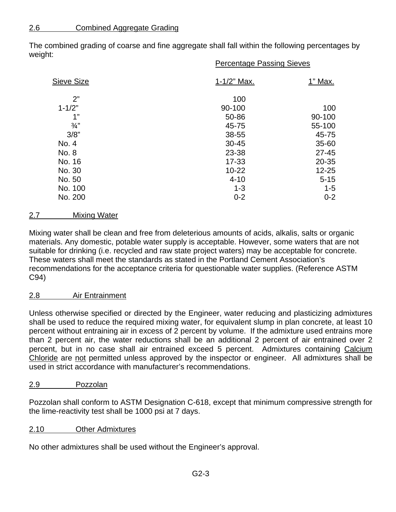The combined grading of coarse and fine aggregate shall fall within the following percentages by weight: Percentage Passing Sieves

|                   | <u>ι εινειπαγε η αδοιτιγισισμένες</u> |           |
|-------------------|---------------------------------------|-----------|
| <b>Sieve Size</b> | 1-1/2" Max.                           | 1" Max.   |
| 2"                | 100                                   |           |
| $1 - 1/2"$        | 90-100                                | 100       |
| 1"                | 50-86                                 | 90-100    |
| $\frac{3}{4}$ "   | 45-75                                 | 55-100    |
| 3/8"              | 38-55                                 | 45-75     |
| No. 4             | $30 - 45$                             | 35-60     |
| No. 8             | 23-38                                 | $27 - 45$ |
| No. 16            | $17 - 33$                             | 20-35     |
| No. 30            | $10 - 22$                             | $12 - 25$ |
| No. 50            | $4 - 10$                              | $5 - 15$  |
| No. 100           | $1 - 3$                               | $1 - 5$   |
| No. 200           | $0 - 2$                               | $0 - 2$   |

# 2.7 Mixing Water

Mixing water shall be clean and free from deleterious amounts of acids, alkalis, salts or organic materials. Any domestic, potable water supply is acceptable. However, some waters that are not suitable for drinking (i.e. recycled and raw state project waters) may be acceptable for concrete. These waters shall meet the standards as stated in the Portland Cement Association's recommendations for the acceptance criteria for questionable water supplies. (Reference ASTM C94)

# 2.8 Air Entrainment

Unless otherwise specified or directed by the Engineer, water reducing and plasticizing admixtures shall be used to reduce the required mixing water, for equivalent slump in plan concrete, at least 10 percent without entraining air in excess of 2 percent by volume. If the admixture used entrains more than 2 percent air, the water reductions shall be an additional 2 percent of air entrained over 2 percent, but in no case shall air entrained exceed 5 percent. Admixtures containing Calcium Chloride are not permitted unless approved by the inspector or engineer. All admixtures shall be used in strict accordance with manufacturer's recommendations.

# 2.9 Pozzolan

Pozzolan shall conform to ASTM Designation C-618, except that minimum compressive strength for the lime-reactivity test shall be 1000 psi at 7 days.

# 2.10 Other Admixtures

No other admixtures shall be used without the Engineer's approval.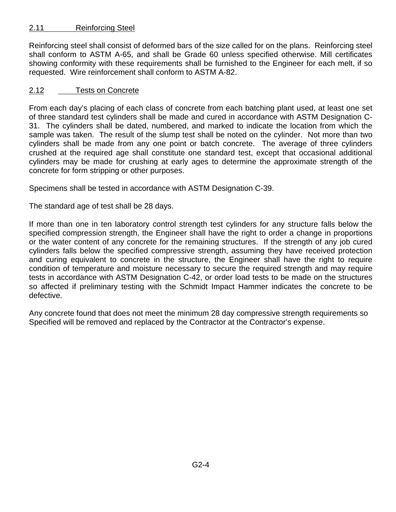# 2.11 Reinforcing Steel

Reinforcing steel shall consist of deformed bars of the size called for on the plans. Reinforcing steel shall conform to ASTM A-65, and shall be Grade 60 unless specified otherwise. Mill certificates showing conformity with these requirements shall be furnished to the Engineer for each melt, if so requested. Wire reinforcement shall conform to ASTM A-82.

# 2.12 Tests on Concrete

From each day's placing of each class of concrete from each batching plant used, at least one set of three standard test cylinders shall be made and cured in accordance with ASTM Designation C-31. The cylinders shall be dated, numbered, and marked to indicate the location from which the sample was taken. The result of the slump test shall be noted on the cylinder. Not more than two cylinders shall be made from any one point or batch concrete. The average of three cylinders crushed at the required age shall constitute one standard test, except that occasional additional cylinders may be made for crushing at early ages to determine the approximate strength of the concrete for form stripping or other purposes.

Specimens shall be tested in accordance with ASTM Designation C-39.

The standard age of test shall be 28 days.

If more than one in ten laboratory control strength test cylinders for any structure falls below the specified compression strength, the Engineer shall have the right to order a change in proportions or the water content of any concrete for the remaining structures. If the strength of any job cured cylinders falls below the specified compressive strength, assuming they have received protection and curing equivalent to concrete in the structure, the Engineer shall have the right to require condition of temperature and moisture necessary to secure the required strength and may require tests in accordance with ASTM Designation C-42, or order load tests to be made on the structures so affected if preliminary testing with the Schmidt Impact Hammer indicates the concrete to be defective.

Any concrete found that does not meet the minimum 28 day compressive strength requirements so Specified will be removed and replaced by the Contractor at the Contractor's expense.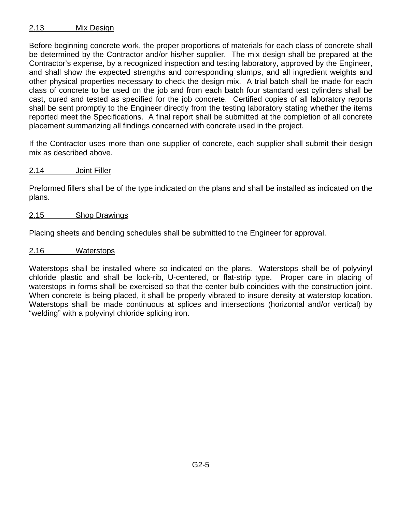# 2.13 Mix Design

Before beginning concrete work, the proper proportions of materials for each class of concrete shall be determined by the Contractor and/or his/her supplier. The mix design shall be prepared at the Contractor's expense, by a recognized inspection and testing laboratory, approved by the Engineer, and shall show the expected strengths and corresponding slumps, and all ingredient weights and other physical properties necessary to check the design mix. A trial batch shall be made for each class of concrete to be used on the job and from each batch four standard test cylinders shall be cast, cured and tested as specified for the job concrete. Certified copies of all laboratory reports shall be sent promptly to the Engineer directly from the testing laboratory stating whether the items reported meet the Specifications. A final report shall be submitted at the completion of all concrete placement summarizing all findings concerned with concrete used in the project.

If the Contractor uses more than one supplier of concrete, each supplier shall submit their design mix as described above.

2.14 Joint Filler

Preformed fillers shall be of the type indicated on the plans and shall be installed as indicated on the plans.

#### 2.15 Shop Drawings

Placing sheets and bending schedules shall be submitted to the Engineer for approval.

2.16 Waterstops

Waterstops shall be installed where so indicated on the plans. Waterstops shall be of polyvinyl chloride plastic and shall be lock-rib, U-centered, or flat-strip type. Proper care in placing of waterstops in forms shall be exercised so that the center bulb coincides with the construction joint. When concrete is being placed, it shall be properly vibrated to insure density at waterstop location. Waterstops shall be made continuous at splices and intersections (horizontal and/or vertical) by "welding" with a polyvinyl chloride splicing iron.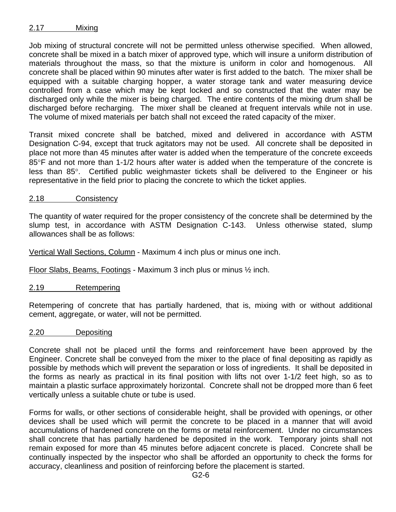# 2.17 Mixing

Job mixing of structural concrete will not be permitted unless otherwise specified. When allowed, concrete shall be mixed in a batch mixer of approved type, which will insure a uniform distribution of materials throughout the mass, so that the mixture is uniform in color and homogenous. All concrete shall be placed within 90 minutes after water is first added to the batch. The mixer shall be equipped with a suitable charging hopper, a water storage tank and water measuring device controlled from a case which may be kept locked and so constructed that the water may be discharged only while the mixer is being charged. The entire contents of the mixing drum shall be discharged before recharging. The mixer shall be cleaned at frequent intervals while not in use. The volume of mixed materials per batch shall not exceed the rated capacity of the mixer.

Transit mixed concrete shall be batched, mixed and delivered in accordance with ASTM Designation C-94, except that truck agitators may not be used. All concrete shall be deposited in place not more than 45 minutes after water is added when the temperature of the concrete exceeds  $85^{\circ}$ F and not more than 1-1/2 hours after water is added when the temperature of the concrete is less than 85°. Certified public weighmaster tickets shall be delivered to the Engineer or his representative in the field prior to placing the concrete to which the ticket applies.

# 2.18 Consistency

The quantity of water required for the proper consistency of the concrete shall be determined by the slump test, in accordance with ASTM Designation C-143. Unless otherwise stated, slump allowances shall be as follows:

Vertical Wall Sections, Column - Maximum 4 inch plus or minus one inch.

Floor Slabs, Beams, Footings - Maximum 3 inch plus or minus ½ inch.

# 2.19 Retempering

Retempering of concrete that has partially hardened, that is, mixing with or without additional cement, aggregate, or water, will not be permitted.

#### 2.20 Depositing

Concrete shall not be placed until the forms and reinforcement have been approved by the Engineer. Concrete shall be conveyed from the mixer to the place of final depositing as rapidly as possible by methods which will prevent the separation or loss of ingredients. It shall be deposited in the forms as nearly as practical in its final position with lifts not over 1-1/2 feet high, so as to maintain a plastic surface approximately horizontal. Concrete shall not be dropped more than 6 feet vertically unless a suitable chute or tube is used.

Forms for walls, or other sections of considerable height, shall be provided with openings, or other devices shall be used which will permit the concrete to be placed in a manner that will avoid accumulations of hardened concrete on the forms or metal reinforcement. Under no circumstances shall concrete that has partially hardened be deposited in the work. Temporary joints shall not remain exposed for more than 45 minutes before adjacent concrete is placed. Concrete shall be continually inspected by the inspector who shall be afforded an opportunity to check the forms for accuracy, cleanliness and position of reinforcing before the placement is started.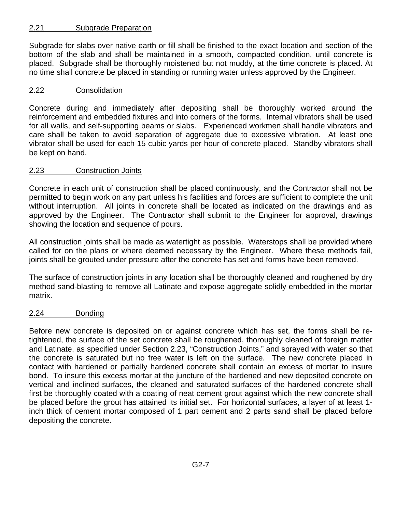# 2.21 Subgrade Preparation

Subgrade for slabs over native earth or fill shall be finished to the exact location and section of the bottom of the slab and shall be maintained in a smooth, compacted condition, until concrete is placed. Subgrade shall be thoroughly moistened but not muddy, at the time concrete is placed. At no time shall concrete be placed in standing or running water unless approved by the Engineer.

# 2.22 Consolidation

Concrete during and immediately after depositing shall be thoroughly worked around the reinforcement and embedded fixtures and into corners of the forms. Internal vibrators shall be used for all walls, and self-supporting beams or slabs. Experienced workmen shall handle vibrators and care shall be taken to avoid separation of aggregate due to excessive vibration. At least one vibrator shall be used for each 15 cubic yards per hour of concrete placed. Standby vibrators shall be kept on hand.

# 2.23 Construction Joints

Concrete in each unit of construction shall be placed continuously, and the Contractor shall not be permitted to begin work on any part unless his facilities and forces are sufficient to complete the unit without interruption. All joints in concrete shall be located as indicated on the drawings and as approved by the Engineer. The Contractor shall submit to the Engineer for approval, drawings showing the location and sequence of pours.

All construction joints shall be made as watertight as possible. Waterstops shall be provided where called for on the plans or where deemed necessary by the Engineer. Where these methods fail, joints shall be grouted under pressure after the concrete has set and forms have been removed.

The surface of construction joints in any location shall be thoroughly cleaned and roughened by dry method sand-blasting to remove all Latinate and expose aggregate solidly embedded in the mortar matrix.

# 2.24 Bonding

Before new concrete is deposited on or against concrete which has set, the forms shall be retightened, the surface of the set concrete shall be roughened, thoroughly cleaned of foreign matter and Latinate, as specified under Section 2.23, "Construction Joints," and sprayed with water so that the concrete is saturated but no free water is left on the surface. The new concrete placed in contact with hardened or partially hardened concrete shall contain an excess of mortar to insure bond. To insure this excess mortar at the juncture of the hardened and new deposited concrete on vertical and inclined surfaces, the cleaned and saturated surfaces of the hardened concrete shall first be thoroughly coated with a coating of neat cement grout against which the new concrete shall be placed before the grout has attained its initial set. For horizontal surfaces, a layer of at least 1 inch thick of cement mortar composed of 1 part cement and 2 parts sand shall be placed before depositing the concrete.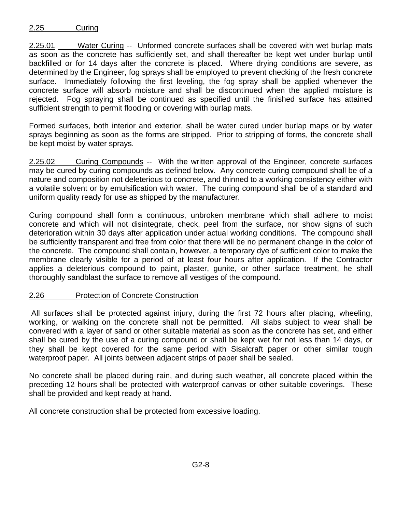2.25.01 \_\_\_\_\_Water Curing -- Unformed concrete surfaces shall be covered with wet burlap mats as soon as the concrete has sufficiently set, and shall thereafter be kept wet under burlap until backfilled or for 14 days after the concrete is placed. Where drying conditions are severe, as determined by the Engineer, fog sprays shall be employed to prevent checking of the fresh concrete surface. Immediately following the first leveling, the fog spray shall be applied whenever the concrete surface will absorb moisture and shall be discontinued when the applied moisture is rejected. Fog spraying shall be continued as specified until the finished surface has attained sufficient strength to permit flooding or covering with burlap mats.

Formed surfaces, both interior and exterior, shall be water cured under burlap maps or by water sprays beginning as soon as the forms are stripped. Prior to stripping of forms, the concrete shall be kept moist by water sprays.

2.25.02 Curing Compounds -- With the written approval of the Engineer, concrete surfaces may be cured by curing compounds as defined below. Any concrete curing compound shall be of a nature and composition not deleterious to concrete, and thinned to a working consistency either with a volatile solvent or by emulsification with water. The curing compound shall be of a standard and uniform quality ready for use as shipped by the manufacturer.

Curing compound shall form a continuous, unbroken membrane which shall adhere to moist concrete and which will not disintegrate, check, peel from the surface, nor show signs of such deterioration within 30 days after application under actual working conditions. The compound shall be sufficiently transparent and free from color that there will be no permanent change in the color of the concrete. The compound shall contain, however, a temporary dye of sufficient color to make the membrane clearly visible for a period of at least four hours after application. If the Contractor applies a deleterious compound to paint, plaster, gunite, or other surface treatment, he shall thoroughly sandblast the surface to remove all vestiges of the compound.

# 2.26 Protection of Concrete Construction

 All surfaces shall be protected against injury, during the first 72 hours after placing, wheeling, working, or walking on the concrete shall not be permitted. All slabs subject to wear shall be convered with a layer of sand or other suitable material as soon as the concrete has set, and either shall be cured by the use of a curing compound or shall be kept wet for not less than 14 days, or they shall be kept covered for the same period with Sisalcraft paper or other similar tough waterproof paper. All joints between adjacent strips of paper shall be sealed.

No concrete shall be placed during rain, and during such weather, all concrete placed within the preceding 12 hours shall be protected with waterproof canvas or other suitable coverings. These shall be provided and kept ready at hand.

All concrete construction shall be protected from excessive loading.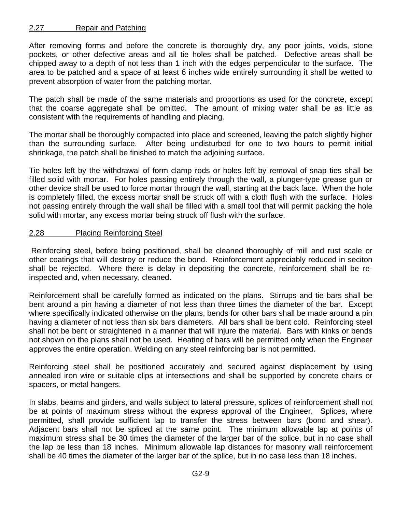# 2.27 Repair and Patching

After removing forms and before the concrete is thoroughly dry, any poor joints, voids, stone pockets, or other defective areas and all tie holes shall be patched. Defective areas shall be chipped away to a depth of not less than 1 inch with the edges perpendicular to the surface. The area to be patched and a space of at least 6 inches wide entirely surrounding it shall be wetted to prevent absorption of water from the patching mortar.

The patch shall be made of the same materials and proportions as used for the concrete, except that the coarse aggregate shall be omitted. The amount of mixing water shall be as little as consistent with the requirements of handling and placing.

The mortar shall be thoroughly compacted into place and screened, leaving the patch slightly higher than the surrounding surface. After being undisturbed for one to two hours to permit initial shrinkage, the patch shall be finished to match the adjoining surface.

Tie holes left by the withdrawal of form clamp rods or holes left by removal of snap ties shall be filled solid with mortar. For holes passing entirely through the wall, a plunger-type grease gun or other device shall be used to force mortar through the wall, starting at the back face. When the hole is completely filled, the excess mortar shall be struck off with a cloth flush with the surface. Holes not passing entirely through the wall shall be filled with a small tool that will permit packing the hole solid with mortar, any excess mortar being struck off flush with the surface.

# 2.28 Placing Reinforcing Steel

 Reinforcing steel, before being positioned, shall be cleaned thoroughly of mill and rust scale or other coatings that will destroy or reduce the bond. Reinforcement appreciably reduced in seciton shall be rejected. Where there is delay in depositing the concrete, reinforcement shall be reinspected and, when necessary, cleaned.

Reinforcement shall be carefully formed as indicated on the plans. Stirrups and tie bars shall be bent around a pin having a diameter of not less than three times the diameter of the bar. Except where specifically indicated otherwise on the plans, bends for other bars shall be made around a pin having a diameter of not less than six bars diameters. All bars shall be bent cold. Reinforcing steel shall not be bent or straightened in a manner that will injure the material. Bars with kinks or bends not shown on the plans shall not be used. Heating of bars will be permitted only when the Engineer approves the entire operation. Welding on any steel reinforcing bar is not permitted.

Reinforcing steel shall be positioned accurately and secured against displacement by using annealed iron wire or suitable clips at intersections and shall be supported by concrete chairs or spacers, or metal hangers.

In slabs, beams and girders, and walls subject to lateral pressure, splices of reinforcement shall not be at points of maximum stress without the express approval of the Engineer. Splices, where permitted, shall provide sufficient lap to transfer the stress between bars (bond and shear). Adjacent bars shall not be spliced at the same point. The minimum allowable lap at points of maximum stress shall be 30 times the diameter of the larger bar of the splice, but in no case shall the lap be less than 18 inches. Minimum allowable lap distances for masonry wall reinforcement shall be 40 times the diameter of the larger bar of the splice, but in no case less than 18 inches.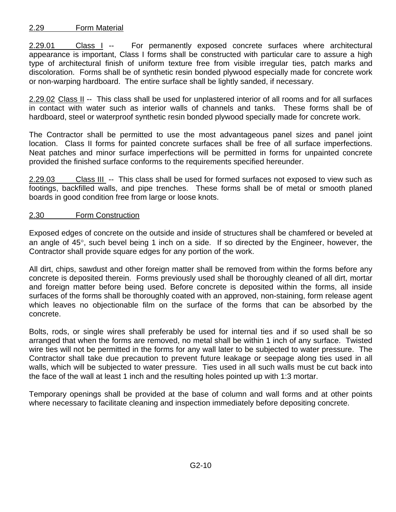# 2.29 Form Material

2.29.01 Class I -- For permanently exposed concrete surfaces where architectural appearance is important, Class I forms shall be constructed with particular care to assure a high type of architectural finish of uniform texture free from visible irregular ties, patch marks and discoloration. Forms shall be of synthetic resin bonded plywood especially made for concrete work or non-warping hardboard. The entire surface shall be lightly sanded, if necessary.

2.29.02 Class II -- This class shall be used for unplastered interior of all rooms and for all surfaces in contact with water such as interior walls of channels and tanks. These forms shall be of hardboard, steel or waterproof synthetic resin bonded plywood specially made for concrete work.

The Contractor shall be permitted to use the most advantageous panel sizes and panel joint location. Class II forms for painted concrete surfaces shall be free of all surface imperfections. Neat patches and minor surface imperfections will be permitted in forms for unpainted concrete provided the finished surface conforms to the requirements specified hereunder.

2.29.03 Class III -- This class shall be used for formed surfaces not exposed to view such as footings, backfilled walls, and pipe trenches. These forms shall be of metal or smooth planed boards in good condition free from large or loose knots.

# 2.30 Form Construction

Exposed edges of concrete on the outside and inside of structures shall be chamfered or beveled at an angle of  $45^{\circ}$ , such bevel being 1 inch on a side. If so directed by the Engineer, however, the Contractor shall provide square edges for any portion of the work.

All dirt, chips, sawdust and other foreign matter shall be removed from within the forms before any concrete is deposited therein. Forms previously used shall be thoroughly cleaned of all dirt, mortar and foreign matter before being used. Before concrete is deposited within the forms, all inside surfaces of the forms shall be thoroughly coated with an approved, non-staining, form release agent which leaves no objectionable film on the surface of the forms that can be absorbed by the concrete.

Bolts, rods, or single wires shall preferably be used for internal ties and if so used shall be so arranged that when the forms are removed, no metal shall be within 1 inch of any surface. Twisted wire ties will not be permitted in the forms for any wall later to be subjected to water pressure. The Contractor shall take due precaution to prevent future leakage or seepage along ties used in all walls, which will be subjected to water pressure. Ties used in all such walls must be cut back into the face of the wall at least 1 inch and the resulting holes pointed up with 1:3 mortar.

Temporary openings shall be provided at the base of column and wall forms and at other points where necessary to facilitate cleaning and inspection immediately before depositing concrete.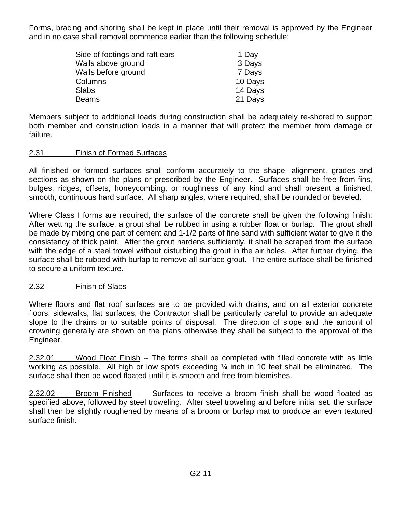Forms, bracing and shoring shall be kept in place until their removal is approved by the Engineer and in no case shall removal commence earlier than the following schedule:

| Side of footings and raft ears | 1 Day   |
|--------------------------------|---------|
| Walls above ground             | 3 Days  |
| Walls before ground            | 7 Days  |
| Columns                        | 10 Days |
| <b>Slabs</b>                   | 14 Days |
| <b>Beams</b>                   | 21 Days |

Members subject to additional loads during construction shall be adequately re-shored to support both member and construction loads in a manner that will protect the member from damage or failure.

# 2.31 Finish of Formed Surfaces

All finished or formed surfaces shall conform accurately to the shape, alignment, grades and sections as shown on the plans or prescribed by the Engineer. Surfaces shall be free from fins, bulges, ridges, offsets, honeycombing, or roughness of any kind and shall present a finished, smooth, continuous hard surface. All sharp angles, where required, shall be rounded or beveled.

Where Class I forms are required, the surface of the concrete shall be given the following finish: After wetting the surface, a grout shall be rubbed in using a rubber float or burlap. The grout shall be made by mixing one part of cement and 1-1/2 parts of fine sand with sufficient water to give it the consistency of thick paint. After the grout hardens sufficiently, it shall be scraped from the surface with the edge of a steel trowel without disturbing the grout in the air holes. After further drying, the surface shall be rubbed with burlap to remove all surface grout. The entire surface shall be finished to secure a uniform texture.

# 2.32 Finish of Slabs

Where floors and flat roof surfaces are to be provided with drains, and on all exterior concrete floors, sidewalks, flat surfaces, the Contractor shall be particularly careful to provide an adequate slope to the drains or to suitable points of disposal. The direction of slope and the amount of crowning generally are shown on the plans otherwise they shall be subject to the approval of the Engineer.

2.32.01 Wood Float Finish -- The forms shall be completed with filled concrete with as little working as possible. All high or low spots exceeding ¼ inch in 10 feet shall be eliminated. The surface shall then be wood floated until it is smooth and free from blemishes.

2.32.02 Broom Finished -- Surfaces to receive a broom finish shall be wood floated as specified above, followed by steel troweling. After steel troweling and before initial set, the surface shall then be slightly roughened by means of a broom or burlap mat to produce an even textured surface finish.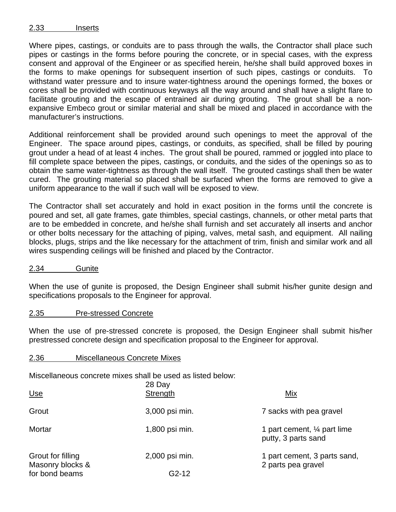#### 2.33 Inserts

Where pipes, castings, or conduits are to pass through the walls, the Contractor shall place such pipes or castings in the forms before pouring the concrete, or in special cases, with the express consent and approval of the Engineer or as specified herein, he/she shall build approved boxes in the forms to make openings for subsequent insertion of such pipes, castings or conduits. To withstand water pressure and to insure water-tightness around the openings formed, the boxes or cores shall be provided with continuous keyways all the way around and shall have a slight flare to facilitate grouting and the escape of entrained air during grouting. The grout shall be a nonexpansive Embeco grout or similar material and shall be mixed and placed in accordance with the manufacturer's instructions.

Additional reinforcement shall be provided around such openings to meet the approval of the Engineer. The space around pipes, castings, or conduits, as specified, shall be filled by pouring grout under a head of at least 4 inches. The grout shall be poured, rammed or joggled into place to fill complete space between the pipes, castings, or conduits, and the sides of the openings so as to obtain the same water-tightness as through the wall itself. The grouted castings shall then be water cured. The grouting material so placed shall be surfaced when the forms are removed to give a uniform appearance to the wall if such wall will be exposed to view.

The Contractor shall set accurately and hold in exact position in the forms until the concrete is poured and set, all gate frames, gate thimbles, special castings, channels, or other metal parts that are to be embedded in concrete, and he/she shall furnish and set accurately all inserts and anchor or other bolts necessary for the attaching of piping, valves, metal sash, and equipment. All nailing blocks, plugs, strips and the like necessary for the attachment of trim, finish and similar work and all wires suspending ceilings will be finished and placed by the Contractor.

# 2.34 Gunite

When the use of gunite is proposed, the Design Engineer shall submit his/her gunite design and specifications proposals to the Engineer for approval.

# 2.35 Pre-stressed Concrete

When the use of pre-stressed concrete is proposed, the Design Engineer shall submit his/her prestressed concrete design and specification proposal to the Engineer for approval.

#### 2.36 Miscellaneous Concrete Mixes

Miscellaneous concrete mixes shall be used as listed below:

| <u>Use</u>                            | 28 Day<br>Strength | <u>Mix</u>                                                    |
|---------------------------------------|--------------------|---------------------------------------------------------------|
| Grout                                 | 3,000 psi min.     | 7 sacks with pea gravel                                       |
| Mortar                                | 1,800 psi min.     | 1 part cement, $\frac{1}{4}$ part lime<br>putty, 3 parts sand |
| Grout for filling<br>Masonry blocks & | 2,000 psi min.     | 1 part cement, 3 parts sand,<br>2 parts pea gravel            |
| for bond beams                        | $G2-12$            |                                                               |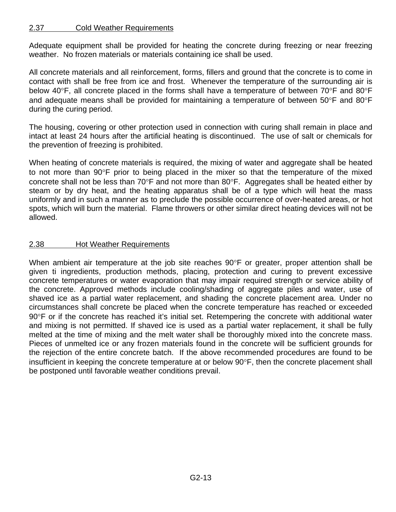# 2.37 Cold Weather Requirements

Adequate equipment shall be provided for heating the concrete during freezing or near freezing weather. No frozen materials or materials containing ice shall be used.

All concrete materials and all reinforcement, forms, fillers and ground that the concrete is to come in contact with shall be free from ice and frost. Whenever the temperature of the surrounding air is below 40°F, all concrete placed in the forms shall have a temperature of between 70°F and 80°F and adequate means shall be provided for maintaining a temperature of between  $50^{\circ}$ F and  $80^{\circ}$ F during the curing period.

The housing, covering or other protection used in connection with curing shall remain in place and intact at least 24 hours after the artificial heating is discontinued. The use of salt or chemicals for the prevention of freezing is prohibited.

When heating of concrete materials is required, the mixing of water and aggregate shall be heated to not more than  $90^{\circ}$ F prior to being placed in the mixer so that the temperature of the mixed concrete shall not be less than  $70^{\circ}$ F and not more than  $80^{\circ}$ F. Aggregates shall be heated either by steam or by dry heat, and the heating apparatus shall be of a type which will heat the mass uniformly and in such a manner as to preclude the possible occurrence of over-heated areas, or hot spots, which will burn the material. Flame throwers or other similar direct heating devices will not be allowed.

# 2.38 Hot Weather Requirements

When ambient air temperature at the job site reaches  $90^{\circ}$ F or greater, proper attention shall be given ti ingredients, production methods, placing, protection and curing to prevent excessive concrete temperatures or water evaporation that may impair required strength or service ability of the concrete. Approved methods include cooling/shading of aggregate piles and water, use of shaved ice as a partial water replacement, and shading the concrete placement area. Under no circumstances shall concrete be placed when the concrete temperature has reached or exceeded 90°F or if the concrete has reached it's initial set. Retempering the concrete with additional water and mixing is not permitted. If shaved ice is used as a partial water replacement, it shall be fully melted at the time of mixing and the melt water shall be thoroughly mixed into the concrete mass. Pieces of unmelted ice or any frozen materials found in the concrete will be sufficient grounds for the rejection of the entire concrete batch. If the above recommended procedures are found to be insufficient in keeping the concrete temperature at or below 90°F, then the concrete placement shall be postponed until favorable weather conditions prevail.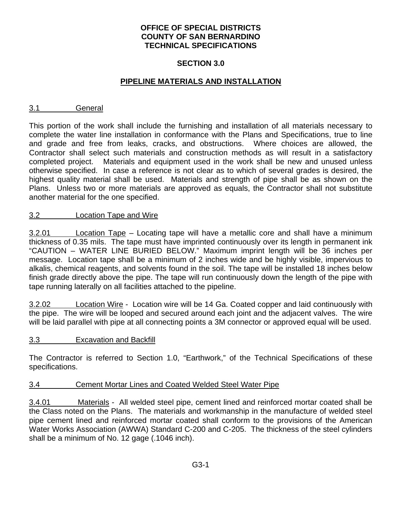# **OFFICE OF SPECIAL DISTRICTS COUNTY OF SAN BERNARDINO TECHNICAL SPECIFICATIONS**

# **SECTION 3.0**

# **PIPELINE MATERIALS AND INSTALLATION**

## 3.1 General

This portion of the work shall include the furnishing and installation of all materials necessary to complete the water line installation in conformance with the Plans and Specifications, true to line and grade and free from leaks, cracks, and obstructions. Where choices are allowed, the Contractor shall select such materials and construction methods as will result in a satisfactory completed project. Materials and equipment used in the work shall be new and unused unless otherwise specified. In case a reference is not clear as to which of several grades is desired, the highest quality material shall be used. Materials and strength of pipe shall be as shown on the Plans. Unless two or more materials are approved as equals, the Contractor shall not substitute another material for the one specified.

#### 3.2 Location Tape and Wire

3.2.01 Location Tape – Locating tape will have a metallic core and shall have a minimum thickness of 0.35 mils. The tape must have imprinted continuously over its length in permanent ink "CAUTION – WATER LINE BURIED BELOW." Maximum imprint length will be 36 inches per message. Location tape shall be a minimum of 2 inches wide and be highly visible, impervious to alkalis, chemical reagents, and solvents found in the soil. The tape will be installed 18 inches below finish grade directly above the pipe. The tape will run continuously down the length of the pipe with tape running laterally on all facilities attached to the pipeline.

3.2.02 Location Wire - Location wire will be 14 Ga. Coated copper and laid continuously with the pipe. The wire will be looped and secured around each joint and the adjacent valves. The wire will be laid parallel with pipe at all connecting points a 3M connector or approved equal will be used.

# 3.3 Excavation and Backfill

The Contractor is referred to Section 1.0, "Earthwork," of the Technical Specifications of these specifications.

#### 3.4 Cement Mortar Lines and Coated Welded Steel Water Pipe

3.4.01 Materials - All welded steel pipe, cement lined and reinforced mortar coated shall be the Class noted on the Plans. The materials and workmanship in the manufacture of welded steel pipe cement lined and reinforced mortar coated shall conform to the provisions of the American Water Works Association (AWWA) Standard C-200 and C-205. The thickness of the steel cylinders shall be a minimum of No. 12 gage (.1046 inch).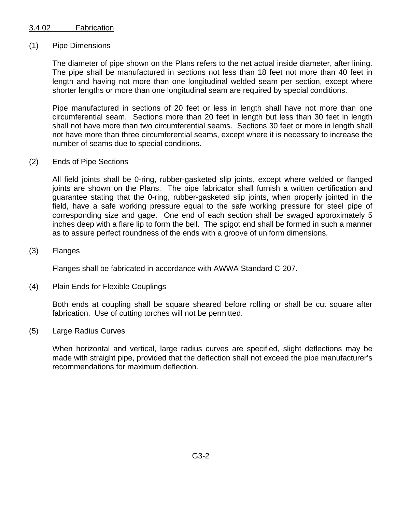# 3.4.02 Fabrication

# (1) Pipe Dimensions

The diameter of pipe shown on the Plans refers to the net actual inside diameter, after lining. The pipe shall be manufactured in sections not less than 18 feet not more than 40 feet in length and having not more than one longitudinal welded seam per section, except where shorter lengths or more than one longitudinal seam are required by special conditions.

Pipe manufactured in sections of 20 feet or less in length shall have not more than one circumferential seam. Sections more than 20 feet in length but less than 30 feet in length shall not have more than two circumferential seams. Sections 30 feet or more in length shall not have more than three circumferential seams, except where it is necessary to increase the number of seams due to special conditions.

#### (2) Ends of Pipe Sections

All field joints shall be 0-ring, rubber-gasketed slip joints, except where welded or flanged joints are shown on the Plans. The pipe fabricator shall furnish a written certification and guarantee stating that the 0-ring, rubber-gasketed slip joints, when properly jointed in the field, have a safe working pressure equal to the safe working pressure for steel pipe of corresponding size and gage. One end of each section shall be swaged approximately 5 inches deep with a flare lip to form the bell. The spigot end shall be formed in such a manner as to assure perfect roundness of the ends with a groove of uniform dimensions.

#### (3) Flanges

Flanges shall be fabricated in accordance with AWWA Standard C-207.

# (4) Plain Ends for Flexible Couplings

Both ends at coupling shall be square sheared before rolling or shall be cut square after fabrication. Use of cutting torches will not be permitted.

#### (5) Large Radius Curves

When horizontal and vertical, large radius curves are specified, slight deflections may be made with straight pipe, provided that the deflection shall not exceed the pipe manufacturer's recommendations for maximum deflection.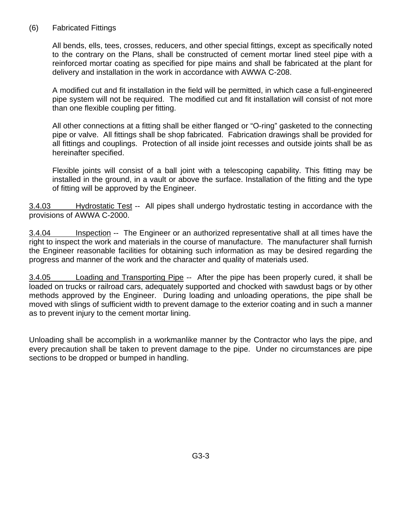# (6) Fabricated Fittings

All bends, ells, tees, crosses, reducers, and other special fittings, except as specifically noted to the contrary on the Plans, shall be constructed of cement mortar lined steel pipe with a reinforced mortar coating as specified for pipe mains and shall be fabricated at the plant for delivery and installation in the work in accordance with AWWA C-208.

A modified cut and fit installation in the field will be permitted, in which case a full-engineered pipe system will not be required. The modified cut and fit installation will consist of not more than one flexible coupling per fitting.

All other connections at a fitting shall be either flanged or "O-ring" gasketed to the connecting pipe or valve. All fittings shall be shop fabricated. Fabrication drawings shall be provided for all fittings and couplings. Protection of all inside joint recesses and outside joints shall be as hereinafter specified.

Flexible joints will consist of a ball joint with a telescoping capability. This fitting may be installed in the ground, in a vault or above the surface. Installation of the fitting and the type of fitting will be approved by the Engineer.

3.4.03 Hydrostatic Test -- All pipes shall undergo hydrostatic testing in accordance with the provisions of AWWA C-2000.

3.4.04 Inspection -- The Engineer or an authorized representative shall at all times have the right to inspect the work and materials in the course of manufacture. The manufacturer shall furnish the Engineer reasonable facilities for obtaining such information as may be desired regarding the progress and manner of the work and the character and quality of materials used.

3.4.05 Loading and Transporting Pipe -- After the pipe has been properly cured, it shall be loaded on trucks or railroad cars, adequately supported and chocked with sawdust bags or by other methods approved by the Engineer. During loading and unloading operations, the pipe shall be moved with slings of sufficient width to prevent damage to the exterior coating and in such a manner as to prevent injury to the cement mortar lining.

Unloading shall be accomplish in a workmanlike manner by the Contractor who lays the pipe, and every precaution shall be taken to prevent damage to the pipe. Under no circumstances are pipe sections to be dropped or bumped in handling.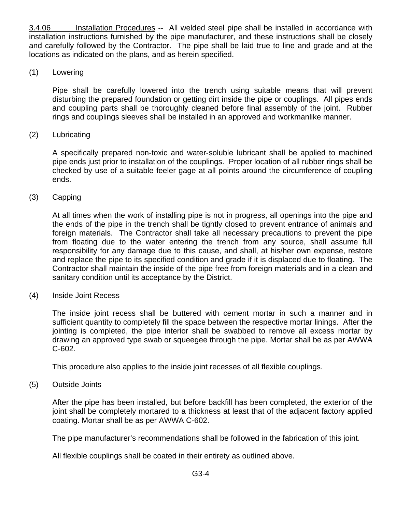3.4.06 Installation Procedures -- All welded steel pipe shall be installed in accordance with installation instructions furnished by the pipe manufacturer, and these instructions shall be closely and carefully followed by the Contractor. The pipe shall be laid true to line and grade and at the locations as indicated on the plans, and as herein specified.

# (1) Lowering

Pipe shall be carefully lowered into the trench using suitable means that will prevent disturbing the prepared foundation or getting dirt inside the pipe or couplings. All pipes ends and coupling parts shall be thoroughly cleaned before final assembly of the joint. Rubber rings and couplings sleeves shall be installed in an approved and workmanlike manner.

# (2) Lubricating

A specifically prepared non-toxic and water-soluble lubricant shall be applied to machined pipe ends just prior to installation of the couplings. Proper location of all rubber rings shall be checked by use of a suitable feeler gage at all points around the circumference of coupling ends.

# (3) Capping

At all times when the work of installing pipe is not in progress, all openings into the pipe and the ends of the pipe in the trench shall be tightly closed to prevent entrance of animals and foreign materials. The Contractor shall take all necessary precautions to prevent the pipe from floating due to the water entering the trench from any source, shall assume full responsibility for any damage due to this cause, and shall, at his/her own expense, restore and replace the pipe to its specified condition and grade if it is displaced due to floating. The Contractor shall maintain the inside of the pipe free from foreign materials and in a clean and sanitary condition until its acceptance by the District.

# (4) Inside Joint Recess

The inside joint recess shall be buttered with cement mortar in such a manner and in sufficient quantity to completely fill the space between the respective mortar linings. After the jointing is completed, the pipe interior shall be swabbed to remove all excess mortar by drawing an approved type swab or squeegee through the pipe. Mortar shall be as per AWWA C-602.

This procedure also applies to the inside joint recesses of all flexible couplings.

# (5) Outside Joints

After the pipe has been installed, but before backfill has been completed, the exterior of the joint shall be completely mortared to a thickness at least that of the adjacent factory applied coating. Mortar shall be as per AWWA C-602.

The pipe manufacturer's recommendations shall be followed in the fabrication of this joint.

All flexible couplings shall be coated in their entirety as outlined above.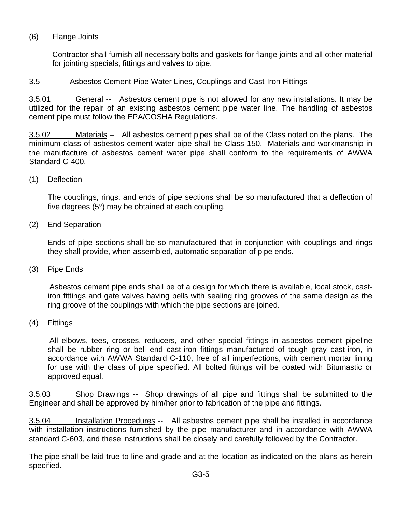# (6) Flange Joints

Contractor shall furnish all necessary bolts and gaskets for flange joints and all other material for jointing specials, fittings and valves to pipe.

# 3.5 Asbestos Cement Pipe Water Lines, Couplings and Cast-Iron Fittings

3.5.01 General -- Asbestos cement pipe is not allowed for any new installations. It may be utilized for the repair of an existing asbestos cement pipe water line. The handling of asbestos cement pipe must follow the EPA/COSHA Regulations.

3.5.02 Materials -- All asbestos cement pipes shall be of the Class noted on the plans. The minimum class of asbestos cement water pipe shall be Class 150. Materials and workmanship in the manufacture of asbestos cement water pipe shall conform to the requirements of AWWA Standard C-400.

(1) Deflection

The couplings, rings, and ends of pipe sections shall be so manufactured that a deflection of five degrees  $(5^{\circ})$  may be obtained at each coupling.

(2) End Separation

Ends of pipe sections shall be so manufactured that in conjunction with couplings and rings they shall provide, when assembled, automatic separation of pipe ends.

(3) Pipe Ends

 Asbestos cement pipe ends shall be of a design for which there is available, local stock, castiron fittings and gate valves having bells with sealing ring grooves of the same design as the ring groove of the couplings with which the pipe sections are joined.

(4) Fittings

 All elbows, tees, crosses, reducers, and other special fittings in asbestos cement pipeline shall be rubber ring or bell end cast-iron fittings manufactured of tough gray cast-iron, in accordance with AWWA Standard C-110, free of all imperfections, with cement mortar lining for use with the class of pipe specified. All bolted fittings will be coated with Bitumastic or approved equal.

3.5.03 Shop Drawings -- Shop drawings of all pipe and fittings shall be submitted to the Engineer and shall be approved by him/her prior to fabrication of the pipe and fittings.

3.5.04 Installation Procedures -- All asbestos cement pipe shall be installed in accordance with installation instructions furnished by the pipe manufacturer and in accordance with AWWA standard C-603, and these instructions shall be closely and carefully followed by the Contractor.

The pipe shall be laid true to line and grade and at the location as indicated on the plans as herein specified.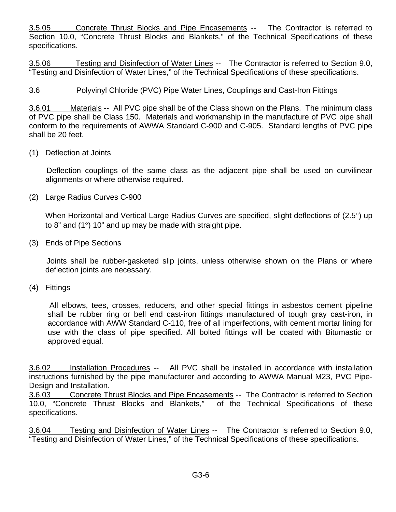3.5.05 Concrete Thrust Blocks and Pipe Encasements -- The Contractor is referred to Section 10.0, "Concrete Thrust Blocks and Blankets," of the Technical Specifications of these specifications.

3.5.06 Testing and Disinfection of Water Lines -- The Contractor is referred to Section 9.0, "Testing and Disinfection of Water Lines," of the Technical Specifications of these specifications.

# 3.6 **Polyvinyl Chloride (PVC) Pipe Water Lines, Couplings and Cast-Iron Fittings**

3.6.01 Materials -- All PVC pipe shall be of the Class shown on the Plans. The minimum class of PVC pipe shall be Class 150. Materials and workmanship in the manufacture of PVC pipe shall conform to the requirements of AWWA Standard C-900 and C-905. Standard lengths of PVC pipe shall be 20 feet.

# (1) Deflection at Joints

 Deflection couplings of the same class as the adjacent pipe shall be used on curvilinear alignments or where otherwise required.

(2) Large Radius Curves C-900

When Horizontal and Vertical Large Radius Curves are specified, slight deflections of (2.5°) up to 8" and  $(1^{\circ})$  10" and up may be made with straight pipe.

(3) Ends of Pipe Sections

 Joints shall be rubber-gasketed slip joints, unless otherwise shown on the Plans or where deflection joints are necessary.

(4) Fittings

 All elbows, tees, crosses, reducers, and other special fittings in asbestos cement pipeline shall be rubber ring or bell end cast-iron fittings manufactured of tough gray cast-iron, in accordance with AWW Standard C-110, free of all imperfections, with cement mortar lining for use with the class of pipe specified. All bolted fittings will be coated with Bitumastic or approved equal.

3.6.02 Installation Procedures -- All PVC shall be installed in accordance with installation instructions furnished by the pipe manufacturer and according to AWWA Manual M23, PVC Pipe-Design and Installation.

3.6.03 Concrete Thrust Blocks and Pipe Encasements -- The Contractor is referred to Section 10.0, "Concrete Thrust Blocks and Blankets," of the Technical Specifications of these specifications.

3.6.04 Testing and Disinfection of Water Lines -- The Contractor is referred to Section 9.0, "Testing and Disinfection of Water Lines," of the Technical Specifications of these specifications.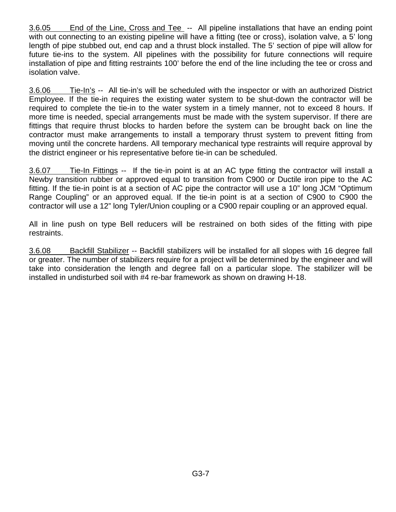3.6.05 End of the Line, Cross and Tee -- All pipeline installations that have an ending point with out connecting to an existing pipeline will have a fitting (tee or cross), isolation valve, a 5' long length of pipe stubbed out, end cap and a thrust block installed. The 5' section of pipe will allow for future tie-ins to the system. All pipelines with the possibility for future connections will require installation of pipe and fitting restraints 100' before the end of the line including the tee or cross and isolation valve.

3.6.06 Tie-In's -- All tie-in's will be scheduled with the inspector or with an authorized District Employee. If the tie-in requires the existing water system to be shut-down the contractor will be required to complete the tie-in to the water system in a timely manner, not to exceed 8 hours. If more time is needed, special arrangements must be made with the system supervisor. If there are fittings that require thrust blocks to harden before the system can be brought back on line the contractor must make arrangements to install a temporary thrust system to prevent fitting from moving until the concrete hardens. All temporary mechanical type restraints will require approval by the district engineer or his representative before tie-in can be scheduled.

3.6.07 Tie-In Fittings -- If the tie-in point is at an AC type fitting the contractor will install a Newby transition rubber or approved equal to transition from C900 or Ductile iron pipe to the AC fitting. If the tie-in point is at a section of AC pipe the contractor will use a 10" long JCM "Optimum Range Coupling" or an approved equal. If the tie-in point is at a section of C900 to C900 the contractor will use a 12" long Tyler/Union coupling or a C900 repair coupling or an approved equal.

All in line push on type Bell reducers will be restrained on both sides of the fitting with pipe restraints.

3.6.08 Backfill Stabilizer -- Backfill stabilizers will be installed for all slopes with 16 degree fall or greater. The number of stabilizers require for a project will be determined by the engineer and will take into consideration the length and degree fall on a particular slope. The stabilizer will be installed in undisturbed soil with #4 re-bar framework as shown on drawing H-18.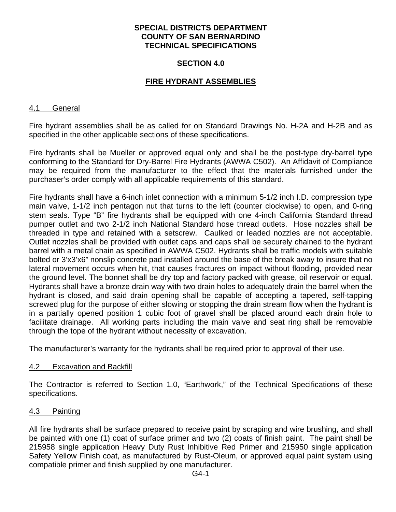### **SECTION 4.0**

# **FIRE HYDRANT ASSEMBLIES**

#### 4.1 General

Fire hydrant assemblies shall be as called for on Standard Drawings No. H-2A and H-2B and as specified in the other applicable sections of these specifications.

Fire hydrants shall be Mueller or approved equal only and shall be the post-type dry-barrel type conforming to the Standard for Dry-Barrel Fire Hydrants (AWWA C502). An Affidavit of Compliance may be required from the manufacturer to the effect that the materials furnished under the purchaser's order comply with all applicable requirements of this standard.

Fire hydrants shall have a 6-inch inlet connection with a minimum 5-1/2 inch I.D. compression type main valve, 1-1/2 inch pentagon nut that turns to the left (counter clockwise) to open, and 0-ring stem seals. Type "B" fire hydrants shall be equipped with one 4-inch California Standard thread pumper outlet and two 2-1/2 inch National Standard hose thread outlets. Hose nozzles shall be threaded in type and retained with a setscrew. Caulked or leaded nozzles are not acceptable. Outlet nozzles shall be provided with outlet caps and caps shall be securely chained to the hydrant barrel with a metal chain as specified in AWWA C502. Hydrants shall be traffic models with suitable bolted or 3'x3'x6" nonslip concrete pad installed around the base of the break away to insure that no lateral movement occurs when hit, that causes fractures on impact without flooding, provided near the ground level. The bonnet shall be dry top and factory packed with grease, oil reservoir or equal. Hydrants shall have a bronze drain way with two drain holes to adequately drain the barrel when the hydrant is closed, and said drain opening shall be capable of accepting a tapered, self-tapping screwed plug for the purpose of either slowing or stopping the drain stream flow when the hydrant is in a partially opened position 1 cubic foot of gravel shall be placed around each drain hole to facilitate drainage. All working parts including the main valve and seat ring shall be removable through the tope of the hydrant without necessity of excavation.

The manufacturer's warranty for the hydrants shall be required prior to approval of their use.

#### 4.2 Excavation and Backfill

The Contractor is referred to Section 1.0, "Earthwork," of the Technical Specifications of these specifications.

#### 4.3 Painting

All fire hydrants shall be surface prepared to receive paint by scraping and wire brushing, and shall be painted with one (1) coat of surface primer and two (2) coats of finish paint. The paint shall be 215958 single application Heavy Duty Rust Inhibitive Red Primer and 215950 single application Safety Yellow Finish coat, as manufactured by Rust-Oleum, or approved equal paint system using compatible primer and finish supplied by one manufacturer.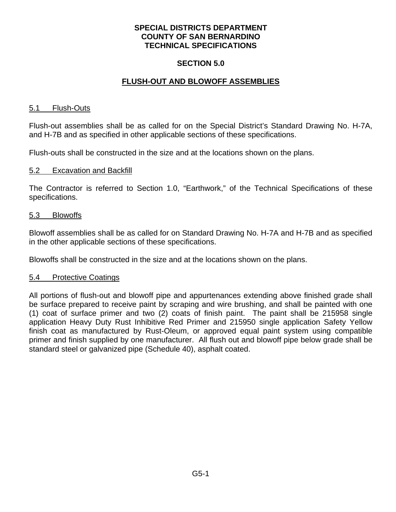# **SECTION 5.0**

# **FLUSH-OUT AND BLOWOFF ASSEMBLIES**

#### 5.1 Flush-Outs

Flush-out assemblies shall be as called for on the Special District's Standard Drawing No. H-7A, and H-7B and as specified in other applicable sections of these specifications.

Flush-outs shall be constructed in the size and at the locations shown on the plans.

#### 5.2 Excavation and Backfill

The Contractor is referred to Section 1.0, "Earthwork," of the Technical Specifications of these specifications.

#### 5.3 Blowoffs

Blowoff assemblies shall be as called for on Standard Drawing No. H-7A and H-7B and as specified in the other applicable sections of these specifications.

Blowoffs shall be constructed in the size and at the locations shown on the plans.

#### 5.4 Protective Coatings

All portions of flush-out and blowoff pipe and appurtenances extending above finished grade shall be surface prepared to receive paint by scraping and wire brushing, and shall be painted with one (1) coat of surface primer and two (2) coats of finish paint. The paint shall be 215958 single application Heavy Duty Rust Inhibitive Red Primer and 215950 single application Safety Yellow finish coat as manufactured by Rust-Oleum, or approved equal paint system using compatible primer and finish supplied by one manufacturer. All flush out and blowoff pipe below grade shall be standard steel or galvanized pipe (Schedule 40), asphalt coated.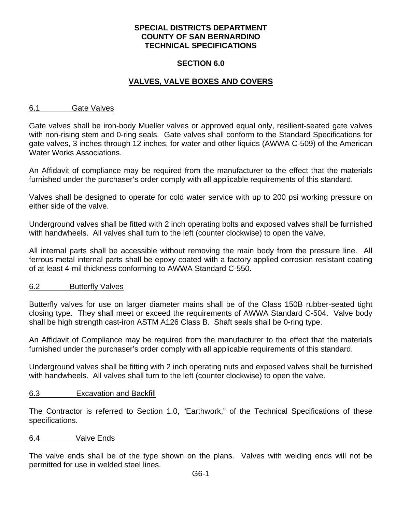## **SECTION 6.0**

# **VALVES, VALVE BOXES AND COVERS**

#### 6.1 Gate Valves

Gate valves shall be iron-body Mueller valves or approved equal only, resilient-seated gate valves with non-rising stem and 0-ring seals. Gate valves shall conform to the Standard Specifications for gate valves, 3 inches through 12 inches, for water and other liquids (AWWA C-509) of the American Water Works Associations.

An Affidavit of compliance may be required from the manufacturer to the effect that the materials furnished under the purchaser's order comply with all applicable requirements of this standard.

Valves shall be designed to operate for cold water service with up to 200 psi working pressure on either side of the valve.

Underground valves shall be fitted with 2 inch operating bolts and exposed valves shall be furnished with handwheels. All valves shall turn to the left (counter clockwise) to open the valve.

All internal parts shall be accessible without removing the main body from the pressure line. All ferrous metal internal parts shall be epoxy coated with a factory applied corrosion resistant coating of at least 4-mil thickness conforming to AWWA Standard C-550.

#### 6.2 Butterfly Valves

Butterfly valves for use on larger diameter mains shall be of the Class 150B rubber-seated tight closing type. They shall meet or exceed the requirements of AWWA Standard C-504. Valve body shall be high strength cast-iron ASTM A126 Class B. Shaft seals shall be 0-ring type.

An Affidavit of Compliance may be required from the manufacturer to the effect that the materials furnished under the purchaser's order comply with all applicable requirements of this standard.

Underground valves shall be fitting with 2 inch operating nuts and exposed valves shall be furnished with handwheels. All valves shall turn to the left (counter clockwise) to open the valve.

# 6.3 Excavation and Backfill

The Contractor is referred to Section 1.0, "Earthwork," of the Technical Specifications of these specifications.

#### 6.4 Valve Ends

The valve ends shall be of the type shown on the plans. Valves with welding ends will not be permitted for use in welded steel lines.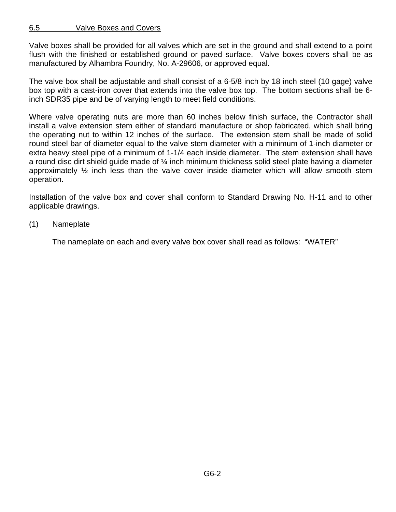# 6.5 Valve Boxes and Covers

Valve boxes shall be provided for all valves which are set in the ground and shall extend to a point flush with the finished or established ground or paved surface. Valve boxes covers shall be as manufactured by Alhambra Foundry, No. A-29606, or approved equal.

The valve box shall be adjustable and shall consist of a 6-5/8 inch by 18 inch steel (10 gage) valve box top with a cast-iron cover that extends into the valve box top. The bottom sections shall be 6 inch SDR35 pipe and be of varying length to meet field conditions.

Where valve operating nuts are more than 60 inches below finish surface, the Contractor shall install a valve extension stem either of standard manufacture or shop fabricated, which shall bring the operating nut to within 12 inches of the surface. The extension stem shall be made of solid round steel bar of diameter equal to the valve stem diameter with a minimum of 1-inch diameter or extra heavy steel pipe of a minimum of 1-1/4 each inside diameter. The stem extension shall have a round disc dirt shield guide made of  $\frac{1}{4}$  inch minimum thickness solid steel plate having a diameter approximately  $\frac{1}{2}$  inch less than the valve cover inside diameter which will allow smooth stem operation.

Installation of the valve box and cover shall conform to Standard Drawing No. H-11 and to other applicable drawings.

(1) Nameplate

The nameplate on each and every valve box cover shall read as follows: "WATER"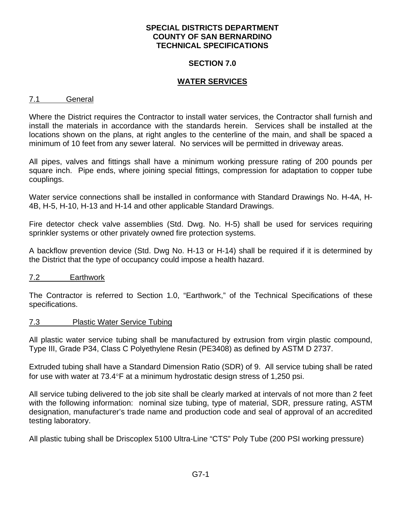#### **SECTION 7.0**

# **WATER SERVICES**

#### 7.1 General

Where the District requires the Contractor to install water services, the Contractor shall furnish and install the materials in accordance with the standards herein. Services shall be installed at the locations shown on the plans, at right angles to the centerline of the main, and shall be spaced a minimum of 10 feet from any sewer lateral. No services will be permitted in driveway areas.

All pipes, valves and fittings shall have a minimum working pressure rating of 200 pounds per square inch. Pipe ends, where joining special fittings, compression for adaptation to copper tube couplings.

Water service connections shall be installed in conformance with Standard Drawings No. H-4A, H-4B, H-5, H-10, H-13 and H-14 and other applicable Standard Drawings.

Fire detector check valve assemblies (Std. Dwg. No. H-5) shall be used for services requiring sprinkler systems or other privately owned fire protection systems.

A backflow prevention device (Std. Dwg No. H-13 or H-14) shall be required if it is determined by the District that the type of occupancy could impose a health hazard.

# 7.2 Earthwork

The Contractor is referred to Section 1.0, "Earthwork," of the Technical Specifications of these specifications.

# 7.3 Plastic Water Service Tubing

All plastic water service tubing shall be manufactured by extrusion from virgin plastic compound, Type III, Grade P34, Class C Polyethylene Resin (PE3408) as defined by ASTM D 2737.

Extruded tubing shall have a Standard Dimension Ratio (SDR) of 9. All service tubing shall be rated for use with water at  $73.4^{\circ}$ F at a minimum hydrostatic design stress of 1,250 psi.

All service tubing delivered to the job site shall be clearly marked at intervals of not more than 2 feet with the following information: nominal size tubing, type of material, SDR, pressure rating, ASTM designation, manufacturer's trade name and production code and seal of approval of an accredited testing laboratory.

All plastic tubing shall be Driscoplex 5100 Ultra-Line "CTS" Poly Tube (200 PSI working pressure)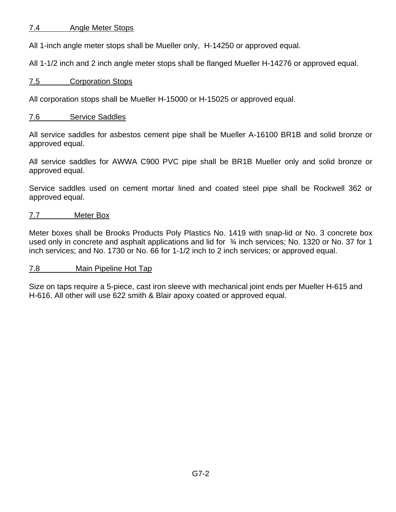# 7.4 Angle Meter Stops

All 1-inch angle meter stops shall be Mueller only, H-14250 or approved equal.

All 1-1/2 inch and 2 inch angle meter stops shall be flanged Mueller H-14276 or approved equal.

# 7.5 Corporation Stops

All corporation stops shall be Mueller H-15000 or H-15025 or approved equal.

# 7.6 Service Saddles

All service saddles for asbestos cement pipe shall be Mueller A-16100 BR1B and solid bronze or approved equal.

All service saddles for AWWA C900 PVC pipe shall be BR1B Mueller only and solid bronze or approved equal.

Service saddles used on cement mortar lined and coated steel pipe shall be Rockwell 362 or approved equal.

# 7.7 Meter Box

Meter boxes shall be Brooks Products Poly Plastics No. 1419 with snap-lid or No. 3 concrete box used only in concrete and asphalt applications and lid for  $\frac{3}{4}$  inch services; No. 1320 or No. 37 for 1 inch services; and No. 1730 or No. 66 for 1-1/2 inch to 2 inch services; or approved equal.

# 7.8 Main Pipeline Hot Tap

Size on taps require a 5-piece, cast iron sleeve with mechanical joint ends per Mueller H-615 and H-616. All other will use 622 smith & Blair apoxy coated or approved equal.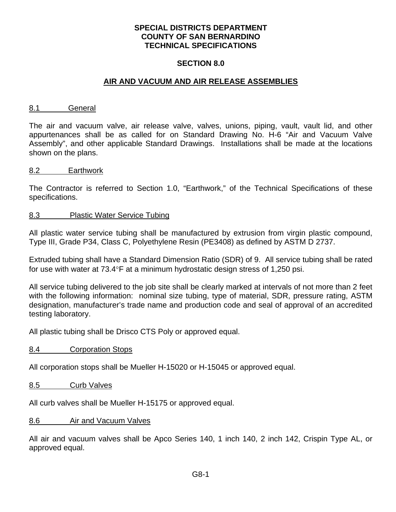#### **SECTION 8.0**

## **AIR AND VACUUM AND AIR RELEASE ASSEMBLIES**

#### 8.1 General

The air and vacuum valve, air release valve, valves, unions, piping, vault, vault lid, and other appurtenances shall be as called for on Standard Drawing No. H-6 "Air and Vacuum Valve Assembly", and other applicable Standard Drawings. Installations shall be made at the locations shown on the plans.

#### 8.2 Earthwork

The Contractor is referred to Section 1.0, "Earthwork," of the Technical Specifications of these specifications.

#### 8.3 Plastic Water Service Tubing

All plastic water service tubing shall be manufactured by extrusion from virgin plastic compound, Type III, Grade P34, Class C, Polyethylene Resin (PE3408) as defined by ASTM D 2737.

Extruded tubing shall have a Standard Dimension Ratio (SDR) of 9. All service tubing shall be rated for use with water at  $73.4^{\circ}$ F at a minimum hydrostatic design stress of 1,250 psi.

All service tubing delivered to the job site shall be clearly marked at intervals of not more than 2 feet with the following information: nominal size tubing, type of material, SDR, pressure rating, ASTM designation, manufacturer's trade name and production code and seal of approval of an accredited testing laboratory.

All plastic tubing shall be Drisco CTS Poly or approved equal.

8.4 Corporation Stops

All corporation stops shall be Mueller H-15020 or H-15045 or approved equal.

8.5 Curb Valves

All curb valves shall be Mueller H-15175 or approved equal.

8.6 Air and Vacuum Valves

All air and vacuum valves shall be Apco Series 140, 1 inch 140, 2 inch 142, Crispin Type AL, or approved equal.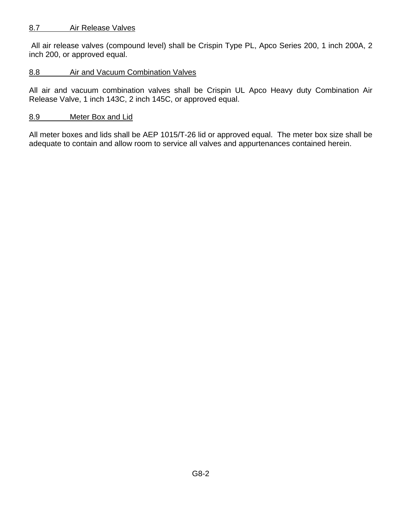# 8.7 Air Release Valves

 All air release valves (compound level) shall be Crispin Type PL, Apco Series 200, 1 inch 200A, 2 inch 200, or approved equal.

# 8.8 Air and Vacuum Combination Valves

All air and vacuum combination valves shall be Crispin UL Apco Heavy duty Combination Air Release Valve, 1 inch 143C, 2 inch 145C, or approved equal.

# 8.9 Meter Box and Lid

All meter boxes and lids shall be AEP 1015/T-26 lid or approved equal. The meter box size shall be adequate to contain and allow room to service all valves and appurtenances contained herein.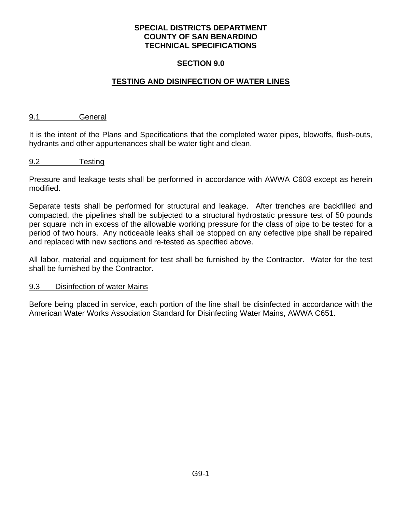## **SECTION 9.0**

# **TESTING AND DISINFECTION OF WATER LINES**

#### 9.1 General

It is the intent of the Plans and Specifications that the completed water pipes, blowoffs, flush-outs, hydrants and other appurtenances shall be water tight and clean.

#### 9.2 Testing

Pressure and leakage tests shall be performed in accordance with AWWA C603 except as herein modified.

Separate tests shall be performed for structural and leakage. After trenches are backfilled and compacted, the pipelines shall be subjected to a structural hydrostatic pressure test of 50 pounds per square inch in excess of the allowable working pressure for the class of pipe to be tested for a period of two hours. Any noticeable leaks shall be stopped on any defective pipe shall be repaired and replaced with new sections and re-tested as specified above.

All labor, material and equipment for test shall be furnished by the Contractor. Water for the test shall be furnished by the Contractor.

#### 9.3 Disinfection of water Mains

Before being placed in service, each portion of the line shall be disinfected in accordance with the American Water Works Association Standard for Disinfecting Water Mains, AWWA C651.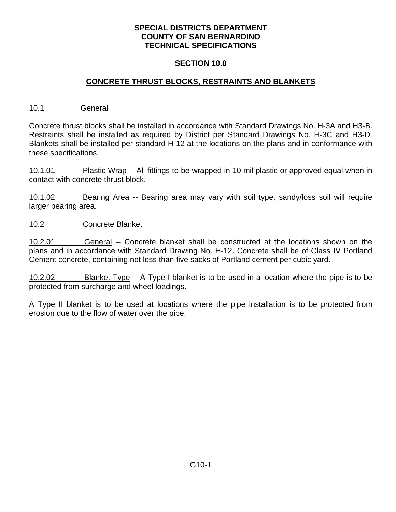## **SECTION 10.0**

# **CONCRETE THRUST BLOCKS, RESTRAINTS AND BLANKETS**

10.1 General

Concrete thrust blocks shall be installed in accordance with Standard Drawings No. H-3A and H3-B. Restraints shall be installed as required by District per Standard Drawings No. H-3C and H3-D. Blankets shall be installed per standard H-12 at the locations on the plans and in conformance with these specifications.

10.1.01 Plastic Wrap -- All fittings to be wrapped in 10 mil plastic or approved equal when in contact with concrete thrust block.

10.1.02 Bearing Area -- Bearing area may vary with soil type, sandy/loss soil will require larger bearing area.

10.2 Concrete Blanket

10.2.01 General -- Concrete blanket shall be constructed at the locations shown on the plans and in accordance with Standard Drawing No. H-12. Concrete shall be of Class IV Portland Cement concrete, containing not less than five sacks of Portland cement per cubic yard.

10.2.02 Blanket Type -- A Type I blanket is to be used in a location where the pipe is to be protected from surcharge and wheel loadings.

A Type II blanket is to be used at locations where the pipe installation is to be protected from erosion due to the flow of water over the pipe.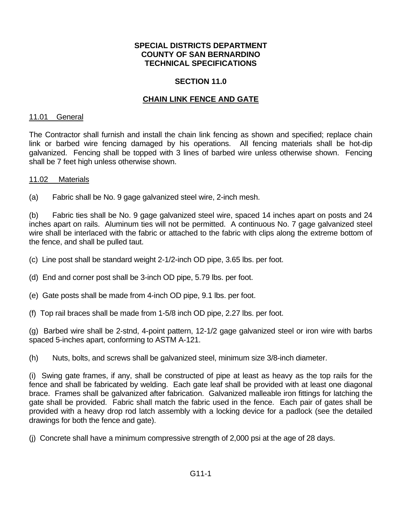## **SECTION 11.0**

# **CHAIN LINK FENCE AND GATE**

#### 11.01 General

The Contractor shall furnish and install the chain link fencing as shown and specified; replace chain link or barbed wire fencing damaged by his operations. All fencing materials shall be hot-dip galvanized. Fencing shall be topped with 3 lines of barbed wire unless otherwise shown. Fencing shall be 7 feet high unless otherwise shown.

#### 11.02 Materials

(a) Fabric shall be No. 9 gage galvanized steel wire, 2-inch mesh.

(b) Fabric ties shall be No. 9 gage galvanized steel wire, spaced 14 inches apart on posts and 24 inches apart on rails. Aluminum ties will not be permitted. A continuous No. 7 gage galvanized steel wire shall be interlaced with the fabric or attached to the fabric with clips along the extreme bottom of the fence, and shall be pulled taut.

(c) Line post shall be standard weight 2-1/2-inch OD pipe, 3.65 lbs. per foot.

(d) End and corner post shall be 3-inch OD pipe, 5.79 lbs. per foot.

- (e) Gate posts shall be made from 4-inch OD pipe, 9.1 lbs. per foot.
- (f) Top rail braces shall be made from 1-5/8 inch OD pipe, 2.27 lbs. per foot.

(g) Barbed wire shall be 2-stnd, 4-point pattern, 12-1/2 gage galvanized steel or iron wire with barbs spaced 5-inches apart, conforming to ASTM A-121.

(h) Nuts, bolts, and screws shall be galvanized steel, minimum size 3/8-inch diameter.

(i) Swing gate frames, if any, shall be constructed of pipe at least as heavy as the top rails for the fence and shall be fabricated by welding. Each gate leaf shall be provided with at least one diagonal brace. Frames shall be galvanized after fabrication. Galvanized malleable iron fittings for latching the gate shall be provided. Fabric shall match the fabric used in the fence. Each pair of gates shall be provided with a heavy drop rod latch assembly with a locking device for a padlock (see the detailed drawings for both the fence and gate).

(j) Concrete shall have a minimum compressive strength of 2,000 psi at the age of 28 days.